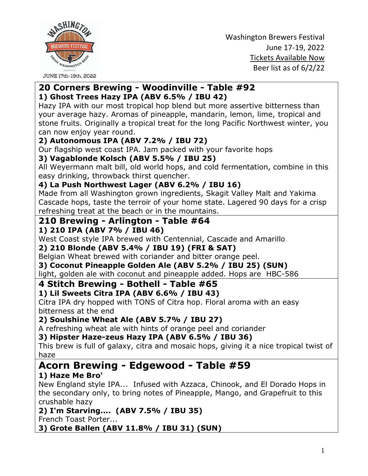

#### **20 Corners Brewing - Woodinville - Table #92 1) Ghost Trees Hazy IPA (ABV 6.5% / IBU 42)**

Hazy IPA with our most tropical hop blend but more assertive bitterness than your average hazy. Aromas of pineapple, mandarin, lemon, lime, tropical and stone fruits. Originally a tropical treat for the long Pacific Northwest winter, you can now enjoy year round.

# **2) Autonomous IPA (ABV 7.2% / IBU 72)**

Our flagship west coast IPA. Jam packed with your favorite hops

# **3) Vagablonde Kolsch (ABV 5.5% / IBU 25)**

All Weyermann malt bill, old world hops, and cold fermentation, combine in this easy drinking, throwback thirst quencher.

# **4) La Push Northwest Lager (ABV 6.2% / IBU 16)**

Made from all Washington grown ingredients, Skagit Valley Malt and Yakima Cascade hops, taste the terroir of your home state. Lagered 90 days for a crisp refreshing treat at the beach or in the mountains.

# **210 Brewing - Arlington - Table #64**

# **1) 210 IPA (ABV 7% / IBU 46)**

West Coast style IPA brewed with Centennial, Cascade and Amarillo

# **2) 210 Blonde (ABV 5.4% / IBU 19) (FRI & SAT)**

Belgian Wheat brewed with coriander and bitter orange peel.

# **3) Coconut Pineapple Golden Ale (ABV 5.2% / IBU 25) (SUN)**

light, golden ale with coconut and pineapple added. Hops are HBC-586

# **4 Stitch Brewing - Bothell - Table #65**

# **1) Lil Sweets Citra IPA (ABV 6.6% / IBU 43)**

Citra IPA dry hopped with TONS of Citra hop. Floral aroma with an easy bitterness at the end

# **2) Soulshine Wheat Ale (ABV 5.7% / IBU 27)**

A refreshing wheat ale with hints of orange peel and coriander

**3) Hipster Haze-zeus Hazy IPA (ABV 6.5% / IBU 36)**

This brew is full of galaxy, citra and mosaic hops, giving it a nice tropical twist of haze

# **Acorn Brewing - Edgewood - Table #59**

# **1) Haze Me Bro'**

New England style IPA... Infused with Azzaca, Chinook, and El Dorado Hops in the secondary only, to bring notes of Pineapple, Mango, and Grapefruit to this crushable hazy

# **2) I'm Starving.... (ABV 7.5% / IBU 35)**

French Toast Porter...

**3) Grote Ballen (ABV 11.8% / IBU 31) (SUN)**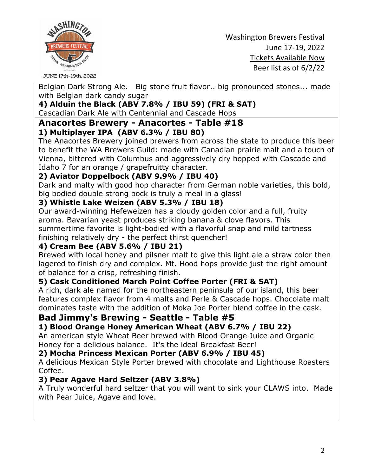

Belgian Dark Strong Ale. Big stone fruit flavor.. big pronounced stones... made with Belgian dark candy sugar

#### **4) Alduin the Black (ABV 7.8% / IBU 59) (FRI & SAT)**

Cascadian Dark Ale with Centennial and Cascade Hops

#### **Anacortes Brewery - Anacortes - Table #18 1) Multiplayer IPA (ABV 6.3% / IBU 80)**

The Anacortes Brewery joined brewers from across the state to produce this beer to benefit the WA Brewers Guild: made with Canadian prairie malt and a touch of Vienna, bittered with Columbus and aggressively dry hopped with Cascade and Idaho 7 for an orange / grapefruitty character.

# **2) Aviator Doppelbock (ABV 9.9% / IBU 40)**

Dark and malty with good hop character from German noble varieties, this bold, big bodied double strong bock is truly a meal in a glass!

## **3) Whistle Lake Weizen (ABV 5.3% / IBU 18)**

Our award-winning Hefeweizen has a cloudy golden color and a full, fruity aroma. Bavarian yeast produces striking banana & clove flavors. This summertime favorite is light-bodied with a flavorful snap and mild tartness finishing relatively dry - the perfect thirst quencher!

#### **4) Cream Bee (ABV 5.6% / IBU 21)**

Brewed with local honey and pilsner malt to give this light ale a straw color then lagered to finish dry and complex. Mt. Hood hops provide just the right amount of balance for a crisp, refreshing finish.

# **5) Cask Conditioned March Point Coffee Porter (FRI & SAT)**

A rich, dark ale named for the northeastern peninsula of our island, this beer features complex flavor from 4 malts and Perle & Cascade hops. Chocolate malt dominates taste with the addition of Moka Joe Porter blend coffee in the cask.

# **Bad Jimmy's Brewing - Seattle - Table #5**

#### **1) Blood Orange Honey American Wheat (ABV 6.7% / IBU 22)**

An american style Wheat Beer brewed with Blood Orange Juice and Organic Honey for a delicious balance. It's the ideal Breakfast Beer!

#### **2) Mocha Princess Mexican Porter (ABV 6.9% / IBU 45)**

A delicious Mexican Style Porter brewed with chocolate and Lighthouse Roasters Coffee.

# **3) Pear Agave Hard Seltzer (ABV 3.8%)**

A Truly wonderful hard seltzer that you will want to sink your CLAWS into. Made with Pear Juice, Agave and love.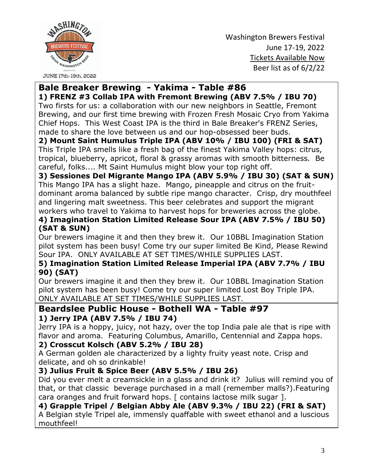

# **Bale Breaker Brewing - Yakima - Table #86**

**1) FRENZ #3 Collab IPA with Fremont Brewing (ABV 7.5% / IBU 70)** Two firsts for us: a collaboration with our new neighbors in Seattle, Fremont Brewing, and our first time brewing with Frozen Fresh Mosaic Cryo from Yakima Chief Hops. This West Coast IPA is the third in Bale Breaker's FRENZ Series, made to share the love between us and our hop-obsessed beer buds.

#### **2) Mount Saint Humulus Triple IPA (ABV 10% / IBU 100) (FRI & SAT)** This Triple IPA smells like a fresh bag of the finest Yakima Valley hops: citrus,

tropical, blueberry, apricot, floral & grassy aromas with smooth bitterness. Be careful, folks.... Mt Saint Humulus might blow your top right off.

**3) Sessiones Del Migrante Mango IPA (ABV 5.9% / IBU 30) (SAT & SUN)** This Mango IPA has a slight haze. Mango, pineapple and citrus on the fruitdominant aroma balanced by subtle ripe mango character. Crisp, dry mouthfeel and lingering malt sweetness. This beer celebrates and support the migrant workers who travel to Yakima to harvest hops for breweries across the globe.

## **4) Imagination Station Limited Release Sour IPA (ABV 7.5% / IBU 50) (SAT & SUN)**

Our brewers imagine it and then they brew it. Our 10BBL Imagination Station pilot system has been busy! Come try our super limited Be Kind, Please Rewind Sour IPA. ONLY AVAILABLE AT SET TIMES/WHILE SUPPLIES LAST.

#### **5) Imagination Station Limited Release Imperial IPA (ABV 7.7% / IBU 90) (SAT)**

Our brewers imagine it and then they brew it. Our 10BBL Imagination Station pilot system has been busy! Come try our super limited Lost Boy Triple IPA. ONLY AVAILABLE AT SET TIMES/WHILE SUPPLIES LAST.

#### **Beardslee Public House - Bothell WA - Table #97 1) Jerry IPA (ABV 7.5% / IBU 74)**

Jerry IPA is a hoppy, juicy, not hazy, over the top India pale ale that is ripe with flavor and aroma. Featuring Columbus, Amarillo, Centennial and Zappa hops.

#### **2) Crosscut Kolsch (ABV 5.2% / IBU 28)**

A German golden ale characterized by a lighty fruity yeast note. Crisp and delicate, and oh so drinkable!

# **3) Julius Fruit & Spice Beer (ABV 5.5% / IBU 26)**

Did you ever melt a creamsickle in a glass and drink it? Julius will remind you of that, or that classic beverage purchased in a mall (remember malls?).Featuring cara oranges and fruit forward hops. [ contains lactose milk sugar ].

# **4) Grapple Tripel / Belgian Abby Ale (ABV 9.3% / IBU 22) (FRI & SAT)**

A Belgian style Tripel ale, immensly quaffable with sweet ethanol and a luscious mouthfeel!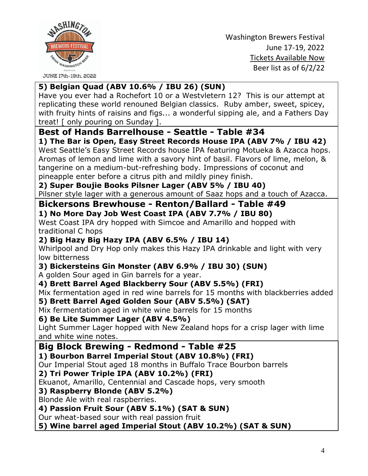

# **5) Belgian Quad (ABV 10.6% / IBU 26) (SUN)**

Have you ever had a Rochefort 10 or a Westvletern 12? This is our attempt at replicating these world renouned Belgian classics. Ruby amber, sweet, spicey, with fruity hints of raisins and figs... a wonderful sipping ale, and a Fathers Day treat! [ only pouring on Sunday ].

## **Best of Hands Barrelhouse - Seattle - Table #34**

**1) The Bar is Open, Easy Street Records House IPA (ABV 7% / IBU 42)**

West Seattle's Easy Street Records house IPA featuring Motueka & Azacca hops. Aromas of lemon and lime with a savory hint of basil. Flavors of lime, melon, & tangerine on a medium-but-refreshing body. Impressions of coconut and pineapple enter before a citrus pith and mildly piney finish.

#### **2) Super Boujie Books Pilsner Lager (ABV 5% / IBU 40)**

Pilsner style lager with a generous amount of Saaz hops and a touch of Azacca.

# **Bickersons Brewhouse - Renton/Ballard - Table #49**

#### **1) No More Day Job West Coast IPA (ABV 7.7% / IBU 80)**

West Coast IPA dry hopped with Simcoe and Amarillo and hopped with traditional C hops

#### **2) Big Hazy Big Hazy IPA (ABV 6.5% / IBU 14)**

Whirlpool and Dry Hop only makes this Hazy IPA drinkable and light with very low bitterness

#### **3) Bickersteins Gin Monster (ABV 6.9% / IBU 30) (SUN)**

A golden Sour aged in Gin barrels for a year.

#### **4) Brett Barrel Aged Blackberry Sour (ABV 5.5%) (FRI)**

Mix fermentation aged in red wine barrels for 15 months with blackberries added

#### **5) Brett Barrel Aged Golden Sour (ABV 5.5%) (SAT)**

Mix fermentation aged in white wine barrels for 15 months

#### **6) Be Lite Summer Lager (ABV 4.5%)**

Light Summer Lager hopped with New Zealand hops for a crisp lager with lime and white wine notes.

#### **Big Block Brewing - Redmond - Table #25**

#### **1) Bourbon Barrel Imperial Stout (ABV 10.8%) (FRI)**

Our Imperial Stout aged 18 months in Buffalo Trace Bourbon barrels

#### **2) Tri Power Triple IPA (ABV 10.2%) (FRI)**

Ekuanot, Amarillo, Centennial and Cascade hops, very smooth

#### **3) Raspberry Blonde (ABV 5.2%)**

Blonde Ale with real raspberries.

#### **4) Passion Fruit Sour (ABV 5.1%) (SAT & SUN)**

Our wheat-based sour with real passion fruit

#### **5) Wine barrel aged Imperial Stout (ABV 10.2%) (SAT & SUN)**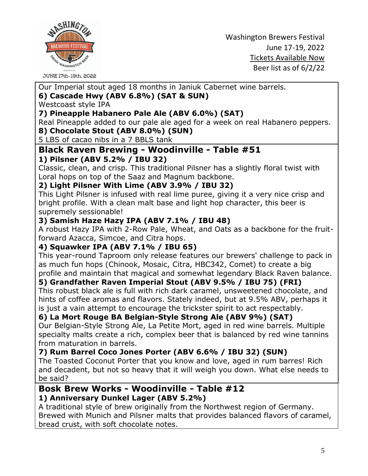

Our Imperial stout aged 18 months in Janiuk Cabernet wine barrels.

# **6) Cascade Hwy (ABV 6.8%) (SAT & SUN)**

Westcoast style IPA

#### **7) Pineapple Habanero Pale Ale (ABV 6.0%) (SAT)**

Real Pineapple added to our pale ale aged for a week on real Habanero peppers. **8) Chocolate Stout (ABV 8.0%) (SUN)**

5 LBS of cacao nibs in a 7 BBLS tank

# **Black Raven Brewing - Woodinville - Table #51**

## **1) Pilsner (ABV 5.2% / IBU 32)**

Classic, clean, and crisp. This traditional Pilsner has a slightly floral twist with Loral hops on top of the Saaz and Magnum backbone.

#### **2) Light Pilsner With Lime (ABV 3.9% / IBU 32)**

This Light Pilsner is infused with real lime puree, giving it a very nice crisp and bright profile. With a clean malt base and light hop character, this beer is supremely sessionable!

#### **3) Samish Haze Hazy IPA (ABV 7.1% / IBU 48)**

A robust Hazy IPA with 2-Row Pale, Wheat, and Oats as a backbone for the fruitforward Azacca, Simcoe, and Citra hops.

#### **4) Squawker IPA (ABV 7.1% / IBU 65)**

This year-round Taproom only release features our brewers' challenge to pack in as much fun hops (Chinook, Mosaic, Citra, HBC342, Comet) to create a big profile and maintain that magical and somewhat legendary Black Raven balance.

#### **5) Grandfather Raven Imperial Stout (ABV 9.5% / IBU 75) (FRI)**

This robust black ale is full with rich dark caramel, unsweetened chocolate, and hints of coffee aromas and flavors. Stately indeed, but at 9.5% ABV, perhaps it is just a vain attempt to encourage the trickster spirit to act respectably.

#### **6) La Mort Rouge BA Belgian-Style Strong Ale (ABV 9%) (SAT)**

Our Belgian-Style Strong Ale, La Petite Mort, aged in red wine barrels. Multiple specialty malts create a rich, complex beer that is balanced by red wine tannins from maturation in barrels.

#### **7) Rum Barrel Coco Jones Porter (ABV 6.6% / IBU 32) (SUN)**

The Toasted Coconut Porter that you know and love, aged in rum barres! Rich and decadent, but not so heavy that it will weigh you down. What else needs to be said?

# **Bosk Brew Works - Woodinville - Table #12**

#### **1) Anniversary Dunkel Lager (ABV 5.2%)**

A traditional style of brew originally from the Northwest region of Germany. Brewed with Munich and Pilsner malts that provides balanced flavors of caramel, bread crust, with soft chocolate notes.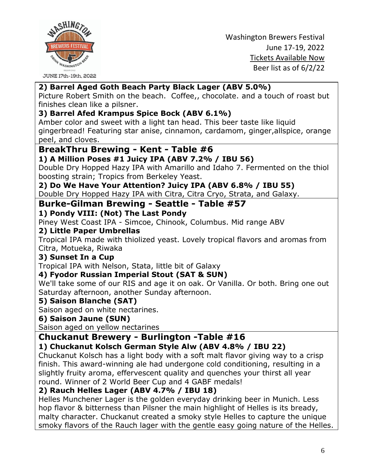

#### **2) Barrel Aged Goth Beach Party Black Lager (ABV 5.0%)**

Picture Robert Smith on the beach. Coffee,, chocolate. and a touch of roast but finishes clean like a pilsner.

#### **3) Barrel Afed Krampus Spice Bock (ABV 6.1%)**

Amber color and sweet with a light tan head. This beer taste like liquid gingerbread! Featuring star anise, cinnamon, cardamom, ginger,allspice, orange peel, and cloves.

#### **BreakThru Brewing - Kent - Table #6**

#### **1) A Million Poses #1 Juicy IPA (ABV 7.2% / IBU 56)**

Double Dry Hopped Hazy IPA with Amarillo and Idaho 7. Fermented on the thiol boosting strain; Tropics from Berkeley Yeast.

#### **2) Do We Have Your Attention? Juicy IPA (ABV 6.8% / IBU 55)**

Double Dry Hopped Hazy IPA with Citra, Citra Cryo, Strata, and Galaxy.

# **Burke-Gilman Brewing - Seattle - Table #57**

#### **1) Pondy VIII: (Not) The Last Pondy**

Piney West Coast IPA - Simcoe, Chinook, Columbus. Mid range ABV

#### **2) Little Paper Umbrellas**

Tropical IPA made with thiolized yeast. Lovely tropical flavors and aromas from Citra, Motueka, Riwaka

#### **3) Sunset In a Cup**

Tropical IPA with Nelson, Stata, little bit of Galaxy

#### **4) Fyodor Russian Imperial Stout (SAT & SUN)**

We'll take some of our RIS and age it on oak. Or Vanilla. Or both. Bring one out Saturday afternoon, another Sunday afternoon.

#### **5) Saison Blanche (SAT)**

Saison aged on white nectarines.

#### **6) Saison Jaune (SUN)**

Saison aged on yellow nectarines

# **Chuckanut Brewery - Burlington -Table #16**

#### **1) Chuckanut Kolsch German Style Alw (ABV 4.8% / IBU 22)**

Chuckanut Kolsch has a light body with a soft malt flavor giving way to a crisp finish. This award-winning ale had undergone cold conditioning, resulting in a slightly fruity aroma, effervescent quality and quenches your thirst all year round. Winner of 2 World Beer Cup and 4 GABF medals!

#### **2) Rauch Helles Lager (ABV 4.7% / IBU 18)**

Helles Munchener Lager is the golden everyday drinking beer in Munich. Less hop flavor & bitterness than Pilsner the main highlight of Helles is its bready, malty character. Chuckanut created a smoky style Helles to capture the unique smoky flavors of the Rauch lager with the gentle easy going nature of the Helles.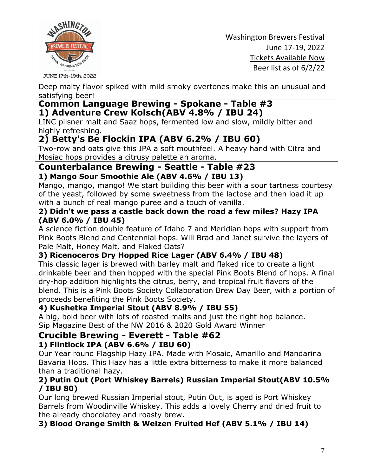

JUNE 17th-19th, 2022

Deep malty flavor spiked with mild smoky overtones make this an unusual and satisfying beer!

#### **Common Language Brewing - Spokane - Table #3 1) Adventure Crew Kolsch(ABV 4.8% / IBU 24)**

LINC pilsner malt and Saaz hops, fermented low and slow, mildly bitter and highly refreshing.

# **2) Betty's Be Flockin IPA (ABV 6.2% / IBU 60)**

Two-row and oats give this IPA a soft mouthfeel. A heavy hand with Citra and Mosiac hops provides a citrusy palette an aroma.

#### **Counterbalance Brewing - Seattle - Table #23 1) Mango Sour Smoothie Ale (ABV 4.6% / IBU 13)**

Mango, mango, mango! We start building this beer with a sour tartness courtesy of the yeast, followed by some sweetness from the lactose and then load it up with a bunch of real mango puree and a touch of vanilla.

#### **2) Didn't we pass a castle back down the road a few miles? Hazy IPA (ABV 6.0% / IBU 45)**

A science fiction double feature of Idaho 7 and Meridian hops with support from Pink Boots Blend and Centennial hops. Will Brad and Janet survive the layers of Pale Malt, Honey Malt, and Flaked Oats?

# **3) Ricenoceros Dry Hopped Rice Lager (ABV 6.4% / IBU 48)**

This classic lager is brewed with barley malt and flaked rice to create a light drinkable beer and then hopped with the special Pink Boots Blend of hops. A final dry-hop addition highlights the citrus, berry, and tropical fruit flavors of the blend. This is a Pink Boots Society Collaboration Brew Day Beer, with a portion of proceeds benefiting the Pink Boots Society.

# **4) Kushetka Imperial Stout (ABV 8.9% / IBU 55)**

A big, bold beer with lots of roasted malts and just the right hop balance. Sip Magazine Best of the NW 2016 & 2020 Gold Award Winner

#### **Crucible Brewing - Everett - Table #62 1) Flintlock IPA (ABV 6.6% / IBU 60)**

Our Year round Flagship Hazy IPA. Made with Mosaic, Amarillo and Mandarina Bavaria Hops. This Hazy has a little extra bitterness to make it more balanced than a traditional hazy.

#### **2) Putin Out (Port Whiskey Barrels) Russian Imperial Stout(ABV 10.5% / IBU 80)**

Our long brewed Russian Imperial stout, Putin Out, is aged is Port Whiskey Barrels from Woodinville Whiskey. This adds a lovely Cherry and dried fruit to the already chocolatey and roasty brew.

# **3) Blood Orange Smith & Weizen Fruited Hef (ABV 5.1% / IBU 14)**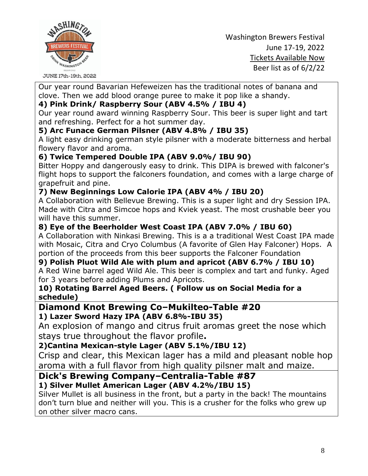

Our year round Bavarian Hefeweizen has the traditional notes of banana and clove. Then we add blood orange puree to make it pop like a shandy.

#### **4) Pink Drink/ Raspberry Sour (ABV 4.5% / IBU 4)**

Our year round award winning Raspberry Sour. This beer is super light and tart and refreshing. Perfect for a hot summer day.

#### **5) Arc Funace German Pilsner (ABV 4.8% / IBU 35)**

A light easy drinking german style pilsner with a moderate bitterness and herbal flowery flavor and aroma.

#### **6) Twice Tempered Double IPA (ABV 9.0%/ IBU 90)**

Bitter Hoppy and dangerously easy to drink. This DIPA is brewed with falconer's flight hops to support the falconers foundation, and comes with a large charge of grapefruit and pine.

## **7) New Beginnings Low Calorie IPA (ABV 4% / IBU 20)**

A Collaboration with Bellevue Brewing. This is a super light and dry Session IPA. Made with Citra and Simcoe hops and Kviek yeast. The most crushable beer you will have this summer.

## **8) Eye of the Beerholder West Coast IPA (ABV 7.0% / IBU 60)**

A Collaboration with Ninkasi Brewing. This is a a traditional West Coast IPA made with Mosaic, Citra and Cryo Columbus (A favorite of Glen Hay Falconer) Hops. A portion of the proceeds from this beer supports the Falconer Foundation

# **9) Polish Pluot Wild Ale with plum and apricot (ABV 6.7% / IBU 10)** A Red Wine barrel aged Wild Ale. This beer is complex and tart and funky. Aged

for 3 years before adding Plums and Apricots.

#### **10) Rotating Barrel Aged Beers. ( Follow us on Social Media for a schedule)**

## **Diamond Knot Brewing Co–Mukilteo-Table #20 1) Lazer Sword Hazy IPA (ABV 6.8%-IBU 35)**

An explosion of mango and citrus fruit aromas greet the nose which stays true throughout the flavor profile**.**

# **2)Cantina Mexican-style Lager (ABV 5.1%/IBU 12)**

Crisp and clear, this Mexican lager has a mild and pleasant noble hop aroma with a full flavor from high quality pilsner malt and maize.

#### **Dick's Brewing Company–Centralia-Table #87 1) Silver Mullet American Lager (ABV 4.2%/IBU 15)**

Silver Mullet is all business in the front, but a party in the back! The mountains don't turn blue and neither will you. This is a crusher for the folks who grew up on other silver macro cans.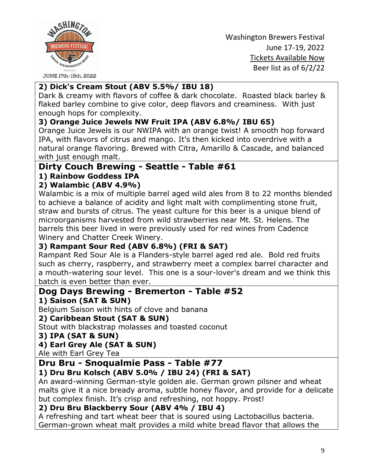

# **2) Dick's Cream Stout (ABV 5.5%/ IBU 18)**

Dark & creamy with flavors of coffee & dark chocolate. Roasted black barley & flaked barley combine to give color, deep flavors and creaminess. With just enough hops for complexity.

## **3) Orange Juice Jewels NW Fruit IPA (ABV 6.8%/ IBU 65)**

Orange Juice Jewels is our NWIPA with an orange twist! A smooth hop forward IPA, with flavors of citrus and mango. It's then kicked into overdrive with a natural orange flavoring. Brewed with Citra, Amarillo & Cascade, and balanced with just enough malt.

# **Dirty Couch Brewing - Seattle - Table #61**

#### **1) Rainbow Goddess IPA**

#### **2) Walambic (ABV 4.9%)**

Walambic is a mix of multiple barrel aged wild ales from 8 to 22 months blended to achieve a balance of acidity and light malt with complimenting stone fruit, straw and bursts of citrus. The yeast culture for this beer is a unique blend of microorganisms harvested from wild strawberries near Mt. St. Helens. The barrels this beer lived in were previously used for red wines from Cadence Winery and Chatter Creek Winery.

#### **3) Rampant Sour Red (ABV 6.8%) (FRI & SAT)**

Rampant Red Sour Ale is a Flanders-style barrel aged red ale. Bold red fruits such as cherry, raspberry, and strawberry meet a complex barrel character and a mouth-watering sour level. This one is a sour-lover's dream and we think this batch is even better than ever.

# **Dog Days Brewing - Bremerton - Table #52**

# **1) Saison (SAT & SUN)**

Belgium Saison with hints of clove and banana

#### **2) Caribbean Stout (SAT & SUN)**

Stout with blackstrap molasses and toasted coconut

#### **3) IPA (SAT & SUN)**

# **4) Earl Grey Ale (SAT & SUN)**

Ale with Earl Grey Tea

# **Dru Bru - Snoqualmie Pass - Table #77**

# **1) Dru Bru Kolsch (ABV 5.0% / IBU 24) (FRI & SAT)**

An award-winning German-style golden ale. German grown pilsner and wheat malts give it a nice bready aroma, subtle honey flavor, and provide for a delicate but complex finish. It's crisp and refreshing, not hoppy. Prost!

# **2) Dru Bru Blackberry Sour (ABV 4% / IBU 4)**

A refreshing and tart wheat beer that is soured using Lactobacillus bacteria. German-grown wheat malt provides a mild white bread flavor that allows the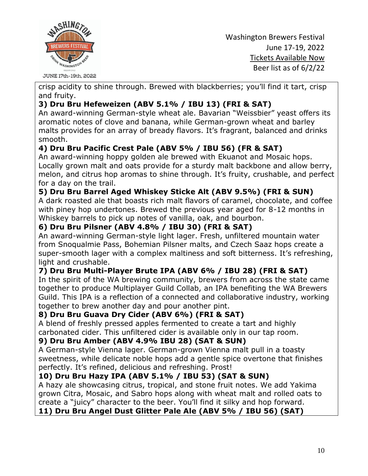

crisp acidity to shine through. Brewed with blackberries; you'll find it tart, crisp and fruity.

# **3) Dru Bru Hefeweizen (ABV 5.1% / IBU 13) (FRI & SAT)**

An award-winning German-style wheat ale. Bavarian "Weissbier" yeast offers its aromatic notes of clove and banana, while German-grown wheat and barley malts provides for an array of bready flavors. It's fragrant, balanced and drinks smooth.

# **4) Dru Bru Pacific Crest Pale (ABV 5% / IBU 56) (FR & SAT)**

An award-winning hoppy golden ale brewed with Ekuanot and Mosaic hops. Locally grown malt and oats provide for a sturdy malt backbone and allow berry, melon, and citrus hop aromas to shine through. It's fruity, crushable, and perfect for a day on the trail.

#### **5) Dru Bru Barrel Aged Whiskey Sticke Alt (ABV 9.5%) (FRI & SUN)**

A dark roasted ale that boasts rich malt flavors of caramel, chocolate, and coffee with piney hop undertones. Brewed the previous year aged for 8-12 months in Whiskey barrels to pick up notes of vanilla, oak, and bourbon.

#### **6) Dru Bru Pilsner (ABV 4.8% / IBU 30) (FRI & SAT)**

An award-winning German-style light lager. Fresh, unfiltered mountain water from Snoqualmie Pass, Bohemian Pilsner malts, and Czech Saaz hops create a super-smooth lager with a complex maltiness and soft bitterness. It's refreshing, light and crushable.

# **7) Dru Bru Multi-Player Brute IPA (ABV 6% / IBU 28) (FRI & SAT)**

In the spirit of the WA brewing community, brewers from across the state came together to produce Multiplayer Guild Collab, an IPA benefiting the WA Brewers Guild. This IPA is a reflection of a connected and collaborative industry, working together to brew another day and pour another pint.

#### **8) Dru Bru Guava Dry Cider (ABV 6%) (FRI & SAT)**

A blend of freshly pressed apples fermented to create a tart and highly carbonated cider. This unfiltered cider is available only in our tap room.

#### **9) Dru Bru Amber (ABV 4.9% IBU 28) (SAT & SUN)**

A German-style Vienna lager. German-grown Vienna malt pull in a toasty sweetness, while delicate noble hops add a gentle spice overtone that finishes perfectly. It's refined, delicious and refreshing. Prost!

# **10) Dru Bru Hazy IPA (ABV 5.1% / IBU 53) (SAT & SUN)**

A hazy ale showcasing citrus, tropical, and stone fruit notes. We add Yakima grown Citra, Mosaic, and Sabro hops along with wheat malt and rolled oats to create a "juicy" character to the beer. You'll find it silky and hop forward.

# **11) Dru Bru Angel Dust Glitter Pale Ale (ABV 5% / IBU 56) (SAT)**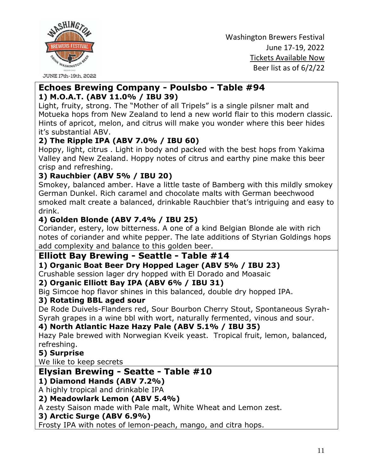

# **Echoes Brewing Company - Poulsbo - Table #94**

## **1) M.O.A.T. (ABV 11.0% / IBU 39)**

Light, fruity, strong. The "Mother of all Tripels" is a single pilsner malt and Motueka hops from New Zealand to lend a new world flair to this modern classic. Hints of apricot, melon, and citrus will make you wonder where this beer hides it's substantial ABV.

## **2) The Ripple IPA (ABV 7.0% / IBU 60)**

Hoppy, light, citrus . Light in body and packed with the best hops from Yakima Valley and New Zealand. Hoppy notes of citrus and earthy pine make this beer crisp and refreshing.

## **3) Rauchbier (ABV 5% / IBU 20)**

Smokey, balanced amber. Have a little taste of Bamberg with this mildly smokey German Dunkel. Rich caramel and chocolate malts with German beechwood smoked malt create a balanced, drinkable Rauchbier that's intriguing and easy to drink.

## **4) Golden Blonde (ABV 7.4% / IBU 25)**

Coriander, estery, low bitterness. A one of a kind Belgian Blonde ale with rich notes of coriander and white pepper. The late additions of Styrian Goldings hops add complexity and balance to this golden beer.

# **Elliott Bay Brewing - Seattle - Table #14**

#### **1) Organic Boat Beer Dry Hopped Lager (ABV 5% / IBU 23)**

Crushable session lager dry hopped with El Dorado and Moasaic

#### **2) Organic Elliott Bay IPA (ABV 6% / IBU 31)**

Big Simcoe hop flavor shines in this balanced, double dry hopped IPA.

# **3) Rotating BBL aged sour**

De Rode Duivels-Flanders red, Sour Bourbon Cherry Stout, Spontaneous Syrah-Syrah grapes in a wine bbl with wort, naturally fermented, vinous and sour.

#### **4) North Atlantic Haze Hazy Pale (ABV 5.1% / IBU 35)**

Hazy Pale brewed with Norwegian Kveik yeast. Tropical fruit, lemon, balanced, refreshing.

#### **5) Surprise**

We like to keep secrets

# **Elysian Brewing - Seatte - Table #10**

#### **1) Diamond Hands (ABV 7.2%)**

A highly tropical and drinkable IPA

#### **2) Meadowlark Lemon (ABV 5.4%)**

A zesty Saison made with Pale malt, White Wheat and Lemon zest.

#### **3) Arctic Surge (ABV 6.9%)**

Frosty IPA with notes of lemon-peach, mango, and citra hops.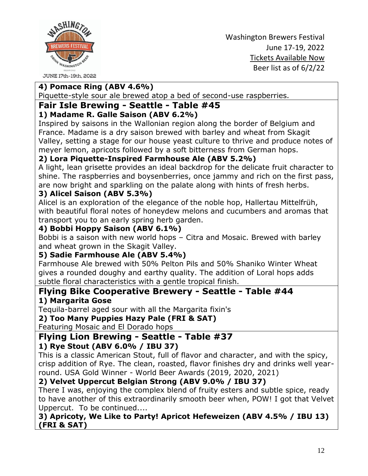

# **4) Pomace Ring (ABV 4.6%)**

Piquette-style sour ale brewed atop a bed of second-use raspberries.

# **Fair Isle Brewing - Seattle - Table #45**

#### **1) Madame R. Galle Saison (ABV 6.2%)**

Inspired by saisons in the Wallonian region along the border of Belgium and France. Madame is a dry saison brewed with barley and wheat from Skagit Valley, setting a stage for our house yeast culture to thrive and produce notes of meyer lemon, apricots followed by a soft bitterness from German hops.

#### **2) Lora Piquette-Inspired Farmhouse Ale (ABV 5.2%)**

A light, lean grisette provides an ideal backdrop for the delicate fruit character to shine. The raspberries and boysenberries, once jammy and rich on the first pass, are now bright and sparkling on the palate along with hints of fresh herbs.

#### **3) Alicel Saison (ABV 5.3%)**

Alicel is an exploration of the elegance of the noble hop, Hallertau Mittelfrüh, with beautiful floral notes of honeydew melons and cucumbers and aromas that transport you to an early spring herb garden.

#### **4) Bobbi Hoppy Saison (ABV 6.1%)**

Bobbi is a saison with new world hops – Citra and Mosaic. Brewed with barley and wheat grown in the Skagit Valley.

#### **5) Sadie Farmhouse Ale (ABV 5.4%)**

Farmhouse Ale brewed with 50% Pelton Pils and 50% Shaniko Winter Wheat gives a rounded doughy and earthy quality. The addition of Loral hops adds subtle floral characteristics with a gentle tropical finish.

# **Flying Bike Cooperative Brewery - Seattle - Table #44**

#### **1) Margarita Gose**

Tequila-barrel aged sour with all the Margarita fixin's

**2) Too Many Puppies Hazy Pale (FRI & SAT)**

Featuring Mosaic and El Dorado hops

#### **Flying Lion Brewing - Seattle - Table #37 1) Rye Stout (ABV 6.0% / IBU 37)**

This is a classic American Stout, full of flavor and character, and with the spicy, crisp addition of Rye. The clean, roasted, flavor finishes dry and drinks well yearround. USA Gold Winner - World Beer Awards (2019, 2020, 2021)

#### **2) Velvet Uppercut Belgian Strong (ABV 9.0% / IBU 37)**

There I was, enjoying the complex blend of fruity esters and subtle spice, ready to have another of this extraordinarily smooth beer when, POW! I got that Velvet Uppercut. To be continued....

#### **3) Apricoty, We Like to Party! Apricot Hefeweizen (ABV 4.5% / IBU 13) (FRI & SAT)**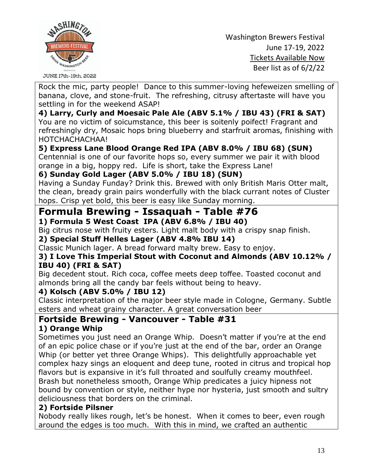

Rock the mic, party people! Dance to this summer-loving hefeweizen smelling of banana, clove, and stone-fruit. The refreshing, citrusy aftertaste will have you settling in for the weekend ASAP!

#### **4) Larry, Curly and Moesaic Pale Ale (ABV 5.1% / IBU 43) (FRI & SAT)** You are no victim of soicumstance, this beer is soitenly poifect! Fragrant and refreshingly dry, Mosaic hops bring blueberry and starfruit aromas, finishing with HOTCHACHACHAA!

## **5) Express Lane Blood Orange Red IPA (ABV 8.0% / IBU 68) (SUN)**

Centennial is one of our favorite hops so, every summer we pair it with blood orange in a big, hoppy red. Life is short, take the Express Lane!

## **6) Sunday Gold Lager (ABV 5.0% / IBU 18) (SUN)**

Having a Sunday Funday? Drink this. Brewed with only British Maris Otter malt, the clean, bready grain pairs wonderfully with the black currant notes of Cluster hops. Crisp yet bold, this beer is easy like Sunday morning.

# **Formula Brewing - Issaquah - Table #76**

#### **1) Formula 5 West Coast IPA (ABV 6.8% / IBU 40)**

Big citrus nose with fruity esters. Light malt body with a crispy snap finish.

#### **2) Special Stuff Helles Lager (ABV 4.8% IBU 14)**

Classic Munich lager. A bread forward malty brew. Easy to enjoy.

#### **3) I Love This Imperial Stout with Coconut and Almonds (ABV 10.12% / IBU 40) (FRI & SAT)**

Big decedent stout. Rich coca, coffee meets deep toffee. Toasted coconut and almonds bring all the candy bar feels without being to heavy.

#### **4) Kolsch (ABV 5.0% / IBU 12)**

Classic interpretation of the major beer style made in Cologne, Germany. Subtle esters and wheat grainy character. A great conversation beer

# **Fortside Brewing - Vancouver - Table #31**

#### **1) Orange Whip**

Sometimes you just need an Orange Whip. Doesn't matter if you're at the end of an epic police chase or if you're just at the end of the bar, order an Orange Whip (or better yet three Orange Whips). This delightfully approachable yet complex hazy sings an eloquent and deep tune, rooted in citrus and tropical hop flavors but is expansive in it's full throated and soulfully creamy mouthfeel. Brash but nonetheless smooth, Orange Whip predicates a juicy hipness not bound by convention or style, neither hype nor hysteria, just smooth and sultry deliciousness that borders on the criminal.

#### **2) Fortside Pilsner**

Nobody really likes rough, let's be honest. When it comes to beer, even rough around the edges is too much. With this in mind, we crafted an authentic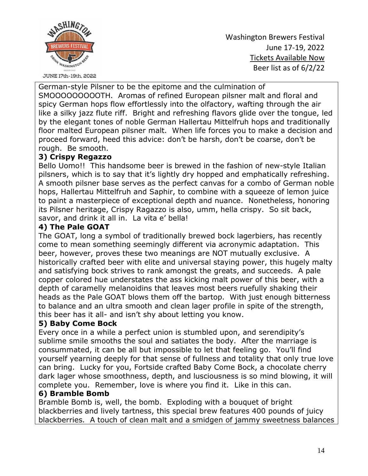

German-style Pilsner to be the epitome and the culmination of SMOOOOOOOOOTH. Aromas of refined European pilsner malt and floral and spicy German hops flow effortlessly into the olfactory, wafting through the air like a silky jazz flute riff. Bright and refreshing flavors glide over the tongue, led by the elegant tones of noble German Hallertau Mittelfruh hops and traditionally floor malted European pilsner malt. When life forces you to make a decision and proceed forward, heed this advice: don't be harsh, don't be coarse, don't be rough. Be smooth.

#### **3) Crispy Regazzo**

Bello Uomo!! This handsome beer is brewed in the fashion of new-style Italian pilsners, which is to say that it's lightly dry hopped and emphatically refreshing. A smooth pilsner base serves as the perfect canvas for a combo of German noble hops, Hallertau Mittelfruh and Saphir, to combine with a squeeze of lemon juice to paint a masterpiece of exceptional depth and nuance. Nonetheless, honoring its Pilsner heritage, Crispy Ragazzo is also, umm, hella crispy. So sit back, savor, and drink it all in. La vita e' bella!

#### **4) The Pale GOAT**

The GOAT, long a symbol of traditionally brewed bock lagerbiers, has recently come to mean something seemingly different via acronymic adaptation. This beer, however, proves these two meanings are NOT mutually exclusive. A historically crafted beer with elite and universal staying power, this hugely malty and satisfying bock strives to rank amongst the greats, and succeeds. A pale copper colored hue understates the ass kicking malt power of this beer, with a depth of caramelly melanoidins that leaves most beers ruefully shaking their heads as the Pale GOAT blows them off the bartop. With just enough bitterness to balance and an ultra smooth and clean lager profile in spite of the strength, this beer has it all- and isn't shy about letting you know.

#### **5) Baby Come Bock**

Every once in a while a perfect union is stumbled upon, and serendipity's sublime smile smooths the soul and satiates the body. After the marriage is consummated, it can be all but impossible to let that feeling go. You'll find yourself yearning deeply for that sense of fullness and totality that only true love can bring. Lucky for you, Fortside crafted Baby Come Bock, a chocolate cherry dark lager whose smoothness, depth, and lusciousness is so mind blowing, it will complete you. Remember, love is where you find it. Like in this can.

#### **6) Bramble Bomb**

Bramble Bomb is, well, the bomb. Exploding with a bouquet of bright blackberries and lively tartness, this special brew features 400 pounds of juicy blackberries. A touch of clean malt and a smidgen of jammy sweetness balances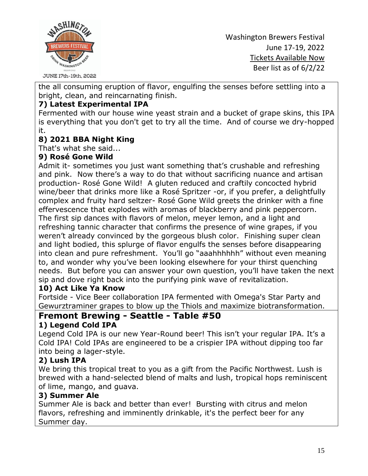

the all consuming eruption of flavor, engulfing the senses before settling into a bright, clean, and reincarnating finish.

#### **7) Latest Experimental IPA**

Fermented with our house wine yeast strain and a bucket of grape skins, this IPA is everything that you don't get to try all the time. And of course we dry-hopped it.

#### **8) 2021 BBA Night King**

That's what she said...

#### **9) Rosé Gone Wild**

Admit it- sometimes you just want something that's crushable and refreshing and pink. Now there's a way to do that without sacrificing nuance and artisan production- Rosé Gone Wild! A gluten reduced and craftily concocted hybrid wine/beer that drinks more like a Rosé Spritzer -or, if you prefer, a delightfully complex and fruity hard seltzer- Rosé Gone Wild greets the drinker with a fine effervescence that explodes with aromas of blackberry and pink peppercorn. The first sip dances with flavors of melon, meyer lemon, and a light and refreshing tannic character that confirms the presence of wine grapes, if you weren't already convinced by the gorgeous blush color. Finishing super clean and light bodied, this splurge of flavor engulfs the senses before disappearing into clean and pure refreshment. You'll go "aaahhhhhh" without even meaning to, and wonder why you've been looking elsewhere for your thirst quenching needs. But before you can answer your own question, you'll have taken the next sip and dove right back into the purifying pink wave of revitalization.

#### **10) Act Like Ya Know**

Fortside - Vice Beer collaboration IPA fermented with Omega's Star Party and Gewurztraminer grapes to blow up the Thiols and maximize biotransformation.

#### **Fremont Brewing - Seattle - Table #50**

#### **1) Legend Cold IPA**

Legend Cold IPA is our new Year-Round beer! This isn't your regular IPA. It's a Cold IPA! Cold IPAs are engineered to be a crispier IPA without dipping too far into being a lager-style.

#### **2) Lush IPA**

We bring this tropical treat to you as a gift from the Pacific Northwest. Lush is brewed with a hand-selected blend of malts and lush, tropical hops reminiscent of lime, mango, and guava.

#### **3) Summer Ale**

Summer Ale is back and better than ever! Bursting with citrus and melon flavors, refreshing and imminently drinkable, it's the perfect beer for any Summer day.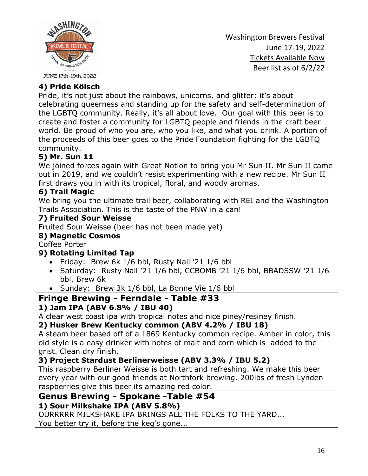

#### **4) Pride Kölsch**

Pride, it's not just about the rainbows, unicorns, and glitter; it's about celebrating queerness and standing up for the safety and self-determination of the LGBTQ community. Really, it's all about love. Our goal with this beer is to create and foster a community for LGBTQ people and friends in the craft beer world. Be proud of who you are, who you like, and what you drink. A portion of the proceeds of this beer goes to the Pride Foundation fighting for the LGBTQ community.

#### **5) Mr. Sun 11**

We joined forces again with Great Notion to bring you Mr Sun II. Mr Sun II came out in 2019, and we couldn't resist experimenting with a new recipe. Mr Sun II first draws you in with its tropical, floral, and woody aromas.

#### **6) Trail Magic**

We bring you the ultimate trail beer, collaborating with REI and the Washington Trails Association. This is the taste of the PNW in a can!

#### **7) Fruited Sour Weisse**

Fruited Sour Weisse (beer has not been made yet)

#### **8) Magnetic Cosmos**

Coffee Porter

#### **9) Rotating Limited Tap**

- Friday: Brew 6k 1/6 bbl, Rusty Nail '21 1/6 bbl
- Saturday: Rusty Nail '21 1/6 bbl, CCBOMB '21 1/6 bbl, BBADSSW '21 1/6 bbl, Brew 6k
- Sunday: Brew 3k 1/6 bbl, La Bonne Vie 1/6 bbl

#### **Fringe Brewing - Ferndale - Table #33**

#### **1) Jam IPA (ABV 6.8% / IBU 40)**

A clear west coast ipa with tropical notes and nice piney/resiney finish.

#### **2) Husker Brew Kentucky common (ABV 4.2% / IBU 18)**

A steam beer based off of a 1869 Kentucky common recipe. Amber in color, this old style is a easy drinker with notes of malt and corn which is added to the grist. Clean dry finish.

#### **3) Project Stardust Berlinerweisse (ABV 3.3% / IBU 5.2)**

This raspberry Berliner Weisse is both tart and refreshing. We make this beer every year with our good friends at Northfork brewing. 200lbs of fresh Lynden raspberries give this beer its amazing red color.

# **Genus Brewing - Spokane -Table #54**

#### **1) Sour Milkshake IPA (ABV 5.8%)**

OURRRRR MILKSHAKE IPA BRINGS ALL THE FOLKS TO THE YARD... You better try it, before the keg's gone...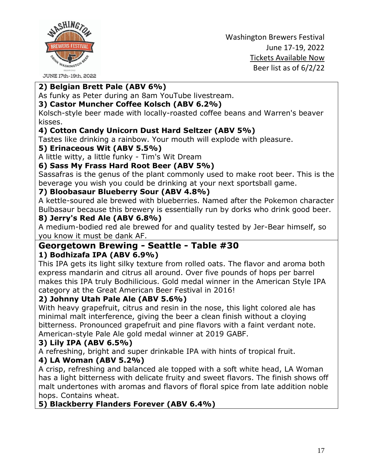

JUNE 17th-19th, 2022

## **2) Belgian Brett Pale (ABV 6%)**

As funky as Peter during an 8am YouTube livestream.

#### **3) Castor Muncher Coffee Kolsch (ABV 6.2%)**

Kolsch-style beer made with locally-roasted coffee beans and Warren's beaver kisses.

#### **4) Cotton Candy Unicorn Dust Hard Seltzer (ABV 5%)**

Tastes like drinking a rainbow. Your mouth will explode with pleasure.

#### **5) Erinaceous Wit (ABV 5.5%)**

A little witty, a little funky - Tim's Wit Dream

#### **6) Sass My Frass Hard Root Beer (ABV 5%)**

Sassafras is the genus of the plant commonly used to make root beer. This is the beverage you wish you could be drinking at your next sportsball game.

#### **7) Bloobasaur Blueberry Sour (ABV 4.8%)**

A kettle-soured ale brewed with blueberries. Named after the Pokemon character Bulbasaur because this brewery is essentially run by dorks who drink good beer.

#### **8) Jerry's Red Ale (ABV 6.8%)**

A medium-bodied red ale brewed for and quality tested by Jer-Bear himself, so you know it must be dank AF.

# **Georgetown Brewing - Seattle - Table #30**

#### **1) Bodhizafa IPA (ABV 6.9%)**

This IPA gets its light silky texture from rolled oats. The flavor and aroma both express mandarin and citrus all around. Over five pounds of hops per barrel makes this IPA truly Bodhilicious. Gold medal winner in the American Style IPA category at the Great American Beer Festival in 2016!

#### **2) Johnny Utah Pale Ale (ABV 5.6%)**

With heavy grapefruit, citrus and resin in the nose, this light colored ale has minimal malt interference, giving the beer a clean finish without a cloying bitterness. Pronounced grapefruit and pine flavors with a faint verdant note. American-style Pale Ale gold medal winner at 2019 GABF.

#### **3) Lily IPA (ABV 6.5%)**

A refreshing, bright and super drinkable IPA with hints of tropical fruit.

#### **4) LA Woman (ABV 5.2%)**

A crisp, refreshing and balanced ale topped with a soft white head, LA Woman has a light bitterness with delicate fruity and sweet flavors. The finish shows off malt undertones with aromas and flavors of floral spice from late addition noble hops. Contains wheat.

#### **5) Blackberry Flanders Forever (ABV 6.4%)**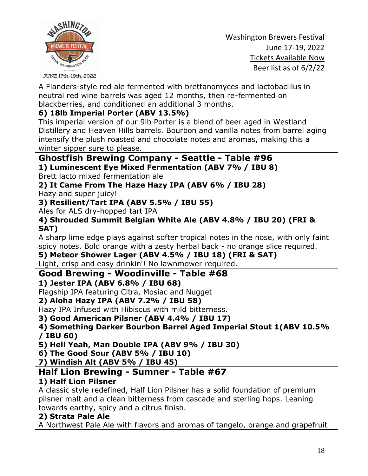

A Flanders-style red ale fermented with brettanomyces and lactobacillus in neutral red wine barrels was aged 12 months, then re-fermented on blackberries, and conditioned an additional 3 months.

### **6) 18lb Imperial Porter (ABV 13.5%)**

This imperial version of our 9lb Porter is a blend of beer aged in Westland Distillery and Heaven Hills barrels. Bourbon and vanilla notes from barrel aging intensify the plush roasted and chocolate notes and aromas, making this a winter sipper sure to please.

# **Ghostfish Brewing Company - Seattle - Table #96**

**1) Luminescent Eye Mixed Fermentation (ABV 7% / IBU 8)** Brett lacto mixed fermentation ale

**2) It Came From The Haze Hazy IPA (ABV 6% / IBU 28)**

Hazy and super juicy!

#### **3) Resilient/Tart IPA (ABV 5.5% / IBU 55)**

Ales for ALS dry-hopped tart IPA

**4) Shrouded Summit Belgian White Ale (ABV 4.8% / IBU 20) (FRI & SAT)**

A sharp lime edge plays against softer tropical notes in the nose, with only faint spicy notes. Bold orange with a zesty herbal back - no orange slice required.

**5) Meteor Shower Lager (ABV 4.5% / IBU 18) (FRI & SAT)**

Light, crisp and easy drinkin'! No lawnmower required.

#### **Good Brewing - Woodinville - Table #68**

#### **1) Jester IPA (ABV 6.8% / IBU 68)**

Flagship IPA featuring Citra, Mosiac and Nugget

#### **2) Aloha Hazy IPA (ABV 7.2% / IBU 58)**

Hazy IPA Infused with Hibiscus with mild bitterness.

**3) Good American Pilsner (ABV 4.4% / IBU 17)**

**4) Something Darker Bourbon Barrel Aged Imperial Stout 1(ABV 10.5% / IBU 60)**

**5) Hell Yeah, Man Double IPA (ABV 9% / IBU 30)**

**6) The Good Sour (ABV 5% / IBU 10)**

**7) Windish Alt (ABV 5% / IBU 45)**

# **Half Lion Brewing - Sumner - Table #67**

# **1) Half Lion Pilsner**

A classic style redefined, Half Lion Pilsner has a solid foundation of premium pilsner malt and a clean bitterness from cascade and sterling hops. Leaning towards earthy, spicy and a citrus finish.

#### **2) Strata Pale Ale**

A Northwest Pale Ale with flavors and aromas of tangelo, orange and grapefruit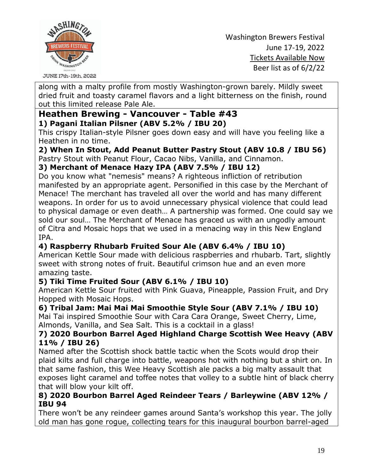

along with a malty profile from mostly Washington-grown barely. Mildly sweet dried fruit and toasty caramel flavors and a light bitterness on the finish, round out this limited release Pale Ale.

# **Heathen Brewing - Vancouver - Table #43**

#### **1) Pagani Italian Pilsner (ABV 5.2% / IBU 20)**

This crispy Italian-style Pilsner goes down easy and will have you feeling like a Heathen in no time.

# **2) When In Stout, Add Peanut Butter Pastry Stout (ABV 10.8 / IBU 56)**

Pastry Stout with Peanut Flour, Cacao Nibs, Vanilla, and Cinnamon.

#### **3) Merchant of Menace Hazy IPA (ABV 7.5% / IBU 12)**

Do you know what "nemesis" means? A righteous infliction of retribution manifested by an appropriate agent. Personified in this case by the Merchant of Menace! The merchant has traveled all over the world and has many different weapons. In order for us to avoid unnecessary physical violence that could lead to physical damage or even death… A partnership was formed. One could say we sold our soul… The Merchant of Menace has graced us with an ungodly amount of Citra and Mosaic hops that we used in a menacing way in this New England IPA.

#### **4) Raspberry Rhubarb Fruited Sour Ale (ABV 6.4% / IBU 10)**

American Kettle Sour made with delicious raspberries and rhubarb. Tart, slightly sweet with strong notes of fruit. Beautiful crimson hue and an even more amazing taste.

#### **5) Tiki Time Fruited Sour (ABV 6.1% / IBU 10)**

American Kettle Sour fruited with Pink Guava, Pineapple, Passion Fruit, and Dry Hopped with Mosaic Hops.

#### **6) Tribal Jam: Mai Mai Mai Smoothie Style Sour (ABV 7.1% / IBU 10)**

Mai Tai inspired Smoothie Sour with Cara Cara Orange, Sweet Cherry, Lime, Almonds, Vanilla, and Sea Salt. This is a cocktail in a glass!

#### **7) 2020 Bourbon Barrel Aged Highland Charge Scottish Wee Heavy (ABV 11% / IBU 26)**

Named after the Scottish shock battle tactic when the Scots would drop their plaid kilts and full charge into battle, weapons hot with nothing but a shirt on. In that same fashion, this Wee Heavy Scottish ale packs a big malty assault that exposes light caramel and toffee notes that volley to a subtle hint of black cherry that will blow your kilt off.

#### **8) 2020 Bourbon Barrel Aged Reindeer Tears / Barleywine (ABV 12% / IBU 94**

There won't be any reindeer games around Santa's workshop this year. The jolly old man has gone rogue, collecting tears for this inaugural bourbon barrel-aged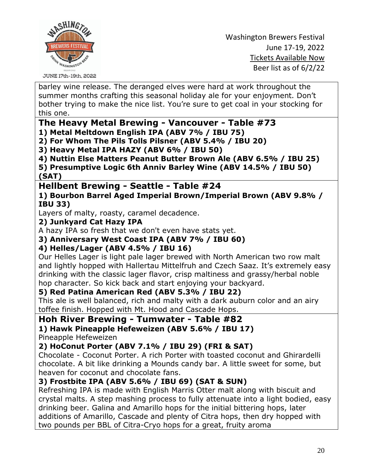

barley wine release. The deranged elves were hard at work throughout the summer months crafting this seasonal holiday ale for your enjoyment. Don't bother trying to make the nice list. You're sure to get coal in your stocking for this one.

# **The Heavy Metal Brewing - Vancouver - Table #73**

**1) Metal Meltdown English IPA (ABV 7% / IBU 75)**

**2) For Whom The Pils Tolls Pilsner (ABV 5.4% / IBU 20)**

**3) Heavy Metal IPA HAZY (ABV 6% / IBU 50)**

**4) Nuttin Else Matters Peanut Butter Brown Ale (ABV 6.5% / IBU 25)**

**5) Presumptive Logic 6th Anniv Barley Wine (ABV 14.5% / IBU 50) (SAT)**

## **Hellbent Brewing - Seattle - Table #24**

**1) Bourbon Barrel Aged Imperial Brown/Imperial Brown (ABV 9.8% / IBU 33)**

Layers of malty, roasty, caramel decadence.

#### **2) Junkyard Cat Hazy IPA**

A hazy IPA so fresh that we don't even have stats yet.

#### **3) Anniversary West Coast IPA (ABV 7% / IBU 60)**

# **4) Helles/Lager (ABV 4.5% / IBU 16)**

Our Helles Lager is light pale lager brewed with North American two row malt and lightly hopped with Hallertau Mittelfruh and Czech Saaz. It's extremely easy drinking with the classic lager flavor, crisp maltiness and grassy/herbal noble hop character. So kick back and start enjoying your backyard.

#### **5) Red Patina American Red (ABV 5.3% / IBU 22)**

This ale is well balanced, rich and malty with a dark auburn color and an airy toffee finish. Hopped with Mt. Hood and Cascade Hops.

# **Hoh River Brewing - Tumwater - Table #82**

**1) Hawk Pineapple Hefeweizen (ABV 5.6% / IBU 17)**

Pineapple Hefeweizen

#### **2) HoConut Porter (ABV 7.1% / IBU 29) (FRI & SAT)**

Chocolate - Coconut Porter. A rich Porter with toasted coconut and Ghirardelli chocolate. A bit like drinking a Mounds candy bar. A little sweet for some, but heaven for coconut and chocolate fans.

# **3) Frostbite IPA (ABV 5.6% / IBU 69) (SAT & SUN)**

Refreshing IPA is made with English Marris Otter malt along with biscuit and crystal malts. A step mashing process to fully attenuate into a light bodied, easy drinking beer. Galina and Amarillo hops for the initial bittering hops, later additions of Amarillo, Cascade and plenty of Citra hops, then dry hopped with two pounds per BBL of Citra-Cryo hops for a great, fruity aroma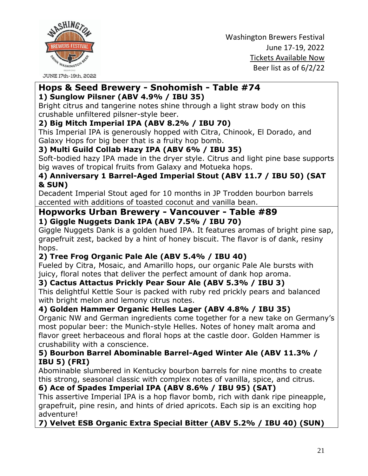

#### **Hops & Seed Brewery - Snohomish - Table #74 1) Sunglow Pilsner (ABV 4.9% / IBU 35)**

Bright citrus and tangerine notes shine through a light straw body on this crushable unfiltered pilsner-style beer.

# **2) Big Mitch Imperial IPA (ABV 8.2% / IBU 70)**

This Imperial IPA is generously hopped with Citra, Chinook, El Dorado, and Galaxy Hops for big beer that is a fruity hop bomb.

# **3) Multi Guild Collab Hazy IPA (ABV 6% / IBU 35)**

Soft-bodied hazy IPA made in the dryer style. Citrus and light pine base supports big waves of tropical fruits from Galaxy and Motueka hops.

#### **4) Anniversary 1 Barrel-Aged Imperial Stout (ABV 11.7 / IBU 50) (SAT & SUN)**

Decadent Imperial Stout aged for 10 months in JP Trodden bourbon barrels accented with additions of toasted coconut and vanilla bean.

#### **Hopworks Urban Brewery - Vancouver - Table #89 1) Giggle Nuggets Dank IPA (ABV 7.5% / IBU 70)**

Giggle Nuggets Dank is a golden hued IPA. It features aromas of bright pine sap, grapefruit zest, backed by a hint of honey biscuit. The flavor is of dank, resiny hops.

# **2) Tree Frog Organic Pale Ale (ABV 5.4% / IBU 40)**

Fueled by Citra, Mosaic, and Amarillo hops, our organic Pale Ale bursts with juicy, floral notes that deliver the perfect amount of dank hop aroma.

# **3) Cactus Attactus Prickly Pear Sour Ale (ABV 5.3% / IBU 3)**

This delightful Kettle Sour is packed with ruby red prickly pears and balanced with bright melon and lemony citrus notes.

# **4) Golden Hammer Organic Helles Lager (ABV 4.8% / IBU 35)**

Organic NW and German ingredients come together for a new take on Germany's most popular beer: the Munich-style Helles. Notes of honey malt aroma and flavor greet herbaceous and floral hops at the castle door. Golden Hammer is crushability with a conscience.

#### **5) Bourbon Barrel Abominable Barrel-Aged Winter Ale (ABV 11.3% / IBU 5) (FRI)**

Abominable slumbered in Kentucky bourbon barrels for nine months to create this strong, seasonal classic with complex notes of vanilla, spice, and citrus.

# **6) Ace of Spades Imperial IPA (ABV 8.6% / IBU 95) (SAT)**

This assertive Imperial IPA is a hop flavor bomb, rich with dank ripe pineapple, grapefruit, pine resin, and hints of dried apricots. Each sip is an exciting hop adventure!

# **7) Velvet ESB Organic Extra Special Bitter (ABV 5.2% / IBU 40) (SUN)**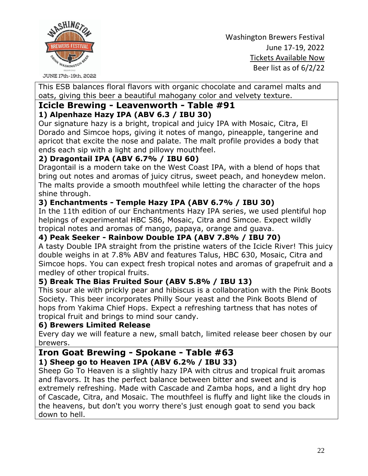

This ESB balances floral flavors with organic chocolate and caramel malts and oats, giving this beer a beautiful mahogany color and velvety texture.

#### **Icicle Brewing - Leavenworth - Table #91 1) Alpenhaze Hazy IPA (ABV 6.3 / IBU 30)**

Our signature hazy is a bright, tropical and juicy IPA with Mosaic, Citra, El Dorado and Simcoe hops, giving it notes of mango, pineapple, tangerine and apricot that excite the nose and palate. The malt profile provides a body that ends each sip with a light and pillowy mouthfeel.

# **2) Dragontail IPA (ABV 6.7% / IBU 60)**

Dragontail is a modern take on the West Coast IPA, with a blend of hops that bring out notes and aromas of juicy citrus, sweet peach, and honeydew melon. The malts provide a smooth mouthfeel while letting the character of the hops shine through.

# **3) Enchantments - Temple Hazy IPA (ABV 6.7% / IBU 30)**

In the 11th edition of our Enchantments Hazy IPA series, we used plentiful hop helpings of experimental HBC 586, Mosaic, Citra and Simcoe. Expect wildly tropical notes and aromas of mango, papaya, orange and guava.

# **4) Peak Seeker - Rainbow Double IPA (ABV 7.8% / IBU 70)**

A tasty Double IPA straight from the pristine waters of the Icicle River! This juicy double weighs in at 7.8% ABV and features Talus, HBC 630, Mosaic, Citra and Simcoe hops. You can expect fresh tropical notes and aromas of grapefruit and a medley of other tropical fruits.

# **5) Break The Bias Fruited Sour (ABV 5.8% / IBU 13)**

This sour ale with prickly pear and hibiscus is a collaboration with the Pink Boots Society. This beer incorporates Philly Sour yeast and the Pink Boots Blend of hops from Yakima Chief Hops. Expect a refreshing tartness that has notes of tropical fruit and brings to mind sour candy.

# **6) Brewers Limited Release**

Every day we will feature a new, small batch, limited release beer chosen by our brewers.

# **Iron Goat Brewing - Spokane - Table #63**

# **1) Sheep go to Heaven IPA (ABV 6.2% / IBU 33)**

Sheep Go To Heaven is a slightly hazy IPA with citrus and tropical fruit aromas and flavors. It has the perfect balance between bitter and sweet and is extremely refreshing. Made with Cascade and Zamba hops, and a light dry hop of Cascade, Citra, and Mosaic. The mouthfeel is fluffy and light like the clouds in the heavens, but don't you worry there's just enough goat to send you back down to hell.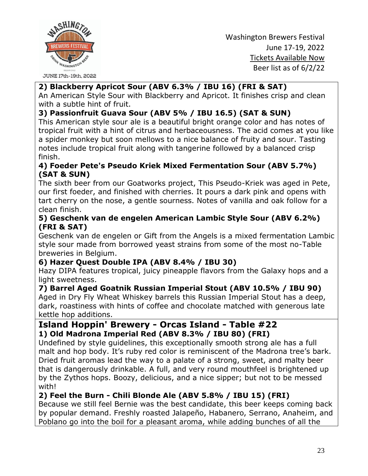

# **2) Blackberry Apricot Sour (ABV 6.3% / IBU 16) (FRI & SAT)**

An American Style Sour with Blackberry and Apricot. It finishes crisp and clean with a subtle hint of fruit.

# **3) Passionfruit Guava Sour (ABV 5% / IBU 16.5) (SAT & SUN)**

This American style sour ale is a beautiful bright orange color and has notes of tropical fruit with a hint of citrus and herbaceousness. The acid comes at you like a spider monkey but soon mellows to a nice balance of fruity and sour. Tasting notes include tropical fruit along with tangerine followed by a balanced crisp finish.

#### **4) Foeder Pete's Pseudo Kriek Mixed Fermentation Sour (ABV 5.7%) (SAT & SUN)**

The sixth beer from our Goatworks project, This Pseudo-Kriek was aged in Pete, our first foeder, and finished with cherries. It pours a dark pink and opens with tart cherry on the nose, a gentle sourness. Notes of vanilla and oak follow for a clean finish.

#### **5) Geschenk van de engelen American Lambic Style Sour (ABV 6.2%) (FRI & SAT)**

Geschenk van de engelen or Gift from the Angels is a mixed fermentation Lambic style sour made from borrowed yeast strains from some of the most no-Table breweries in Belgium.

# **6) Hazer Quest Double IPA (ABV 8.4% / IBU 30)**

Hazy DIPA features tropical, juicy pineapple flavors from the Galaxy hops and a light sweetness.

**7) Barrel Aged Goatnik Russian Imperial Stout (ABV 10.5% / IBU 90)** Aged in Dry Fly Wheat Whiskey barrels this Russian Imperial Stout has a deep, dark, roastiness with hints of coffee and chocolate matched with generous late kettle hop additions.

#### **Island Hoppin' Brewery - Orcas Island - Table #22 1) Old Madrona Imperial Red (ABV 8.3% / IBU 80) (FRI)**

Undefined by style guidelines, this exceptionally smooth strong ale has a full malt and hop body. It's ruby red color is reminiscent of the Madrona tree's bark. Dried fruit aromas lead the way to a palate of a strong, sweet, and malty beer that is dangerously drinkable. A full, and very round mouthfeel is brightened up by the Zythos hops. Boozy, delicious, and a nice sipper; but not to be messed with!

# **2) Feel the Burn - Chili Blonde Ale (ABV 5.8% / IBU 15) (FRI)**

Because we still feel Bernie was the best candidate, this beer keeps coming back by popular demand. Freshly roasted Jalapeño, Habanero, Serrano, Anaheim, and Poblano go into the boil for a pleasant aroma, while adding bunches of all the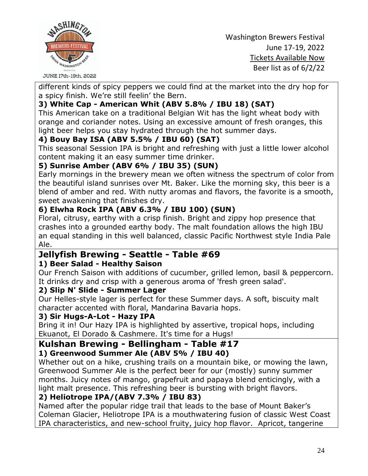

different kinds of spicy peppers we could find at the market into the dry hop for a spicy finish. We're still feelin' the Bern.

# **3) White Cap - American Whit (ABV 5.8% / IBU 18) (SAT)**

This American take on a traditional Belgian Wit has the light wheat body with orange and coriander notes. Using an excessive amount of fresh oranges, this light beer helps you stay hydrated through the hot summer days.

# **4) Bouy Bay ISA (ABV 5.5% / IBU 60) (SAT)**

This seasonal Session IPA is bright and refreshing with just a little lower alcohol content making it an easy summer time drinker.

# **5) Sunrise Amber (ABV 6% / IBU 35) (SUN)**

Early mornings in the brewery mean we often witness the spectrum of color from the beautiful island sunrises over Mt. Baker. Like the morning sky, this beer is a blend of amber and red. With nutty aromas and flavors, the favorite is a smooth, sweet awakening that finishes dry.

# **6) Elwha Rock IPA (ABV 6.3% / IBU 100) (SUN)**

Floral, citrusy, earthy with a crisp finish. Bright and zippy hop presence that crashes into a grounded earthy body. The malt foundation allows the high IBU an equal standing in this well balanced, classic Pacific Northwest style India Pale Ale.

# **Jellyfish Brewing - Seattle - Table #69**

# **1) Beer Salad - Healthy Saison**

Our French Saison with additions of cucumber, grilled lemon, basil & peppercorn. It drinks dry and crisp with a generous aroma of 'fresh green salad'.

# **2) Slip N' Slide - Summer Lager**

Our Helles-style lager is perfect for these Summer days. A soft, biscuity malt character accented with floral, Mandarina Bavaria hops.

# **3) Sir Hugs-A-Lot - Hazy IPA**

Bring it in! Our Hazy IPA is highlighted by assertive, tropical hops, including Ekuanot, El Dorado & Cashmere. It's time for a Hugs!

# **Kulshan Brewing - Bellingham - Table #17**

# **1) Greenwood Summer Ale (ABV 5% / IBU 40)**

Whether out on a hike, crushing trails on a mountain bike, or mowing the lawn, Greenwood Summer Ale is the perfect beer for our (mostly) sunny summer months. Juicy notes of mango, grapefruit and papaya blend enticingly, with a light malt presence. This refreshing beer is bursting with bright flavors.

# **2) Heliotrope IPA/(ABV 7.3% / IBU 83)**

Named after the popular ridge trail that leads to the base of Mount Baker's Coleman Glacier, Heliotrope IPA is a mouthwatering fusion of classic West Coast IPA characteristics, and new-school fruity, juicy hop flavor. Apricot, tangerine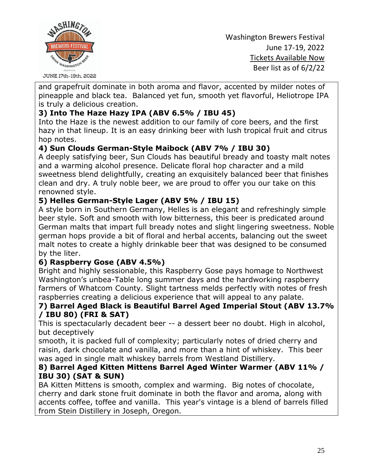

and grapefruit dominate in both aroma and flavor, accented by milder notes of pineapple and black tea. Balanced yet fun, smooth yet flavorful, Heliotrope IPA is truly a delicious creation.

## **3) Into The Haze Hazy IPA (ABV 6.5% / IBU 45)**

Into the Haze is the newest addition to our family of core beers, and the first hazy in that lineup. It is an easy drinking beer with lush tropical fruit and citrus hop notes.

## **4) Sun Clouds German-Style Maibock (ABV 7% / IBU 30)**

A deeply satisfying beer, Sun Clouds has beautiful bready and toasty malt notes and a warming alcohol presence. Delicate floral hop character and a mild sweetness blend delightfully, creating an exquisitely balanced beer that finishes clean and dry. A truly noble beer, we are proud to offer you our take on this renowned style.

## **5) Helles German-Style Lager (ABV 5% / IBU 15)**

A style born in Southern Germany, Helles is an elegant and refreshingly simple beer style. Soft and smooth with low bitterness, this beer is predicated around German malts that impart full bready notes and slight lingering sweetness. Noble german hops provide a bit of floral and herbal accents, balancing out the sweet malt notes to create a highly drinkable beer that was designed to be consumed by the liter.

#### **6) Raspberry Gose (ABV 4.5%)**

Bright and highly sessionable, this Raspberry Gose pays homage to Northwest Washington's unbea-Table long summer days and the hardworking raspberry farmers of Whatcom County. Slight tartness melds perfectly with notes of fresh raspberries creating a delicious experience that will appeal to any palate.

#### **7) Barrel Aged Black is Beautiful Barrel Aged Imperial Stout (ABV 13.7% / IBU 80) (FRI & SAT)**

This is spectacularly decadent beer -- a dessert beer no doubt. High in alcohol, but deceptively

smooth, it is packed full of complexity; particularly notes of dried cherry and raisin, dark chocolate and vanilla, and more than a hint of whiskey. This beer was aged in single malt whiskey barrels from Westland Distillery.

#### **8) Barrel Aged Kitten Mittens Barrel Aged Winter Warmer (ABV 11% / IBU 30) (SAT & SUN)**

BA Kitten Mittens is smooth, complex and warming. Big notes of chocolate, cherry and dark stone fruit dominate in both the flavor and aroma, along with accents coffee, toffee and vanilla. This year's vintage is a blend of barrels filled from Stein Distillery in Joseph, Oregon.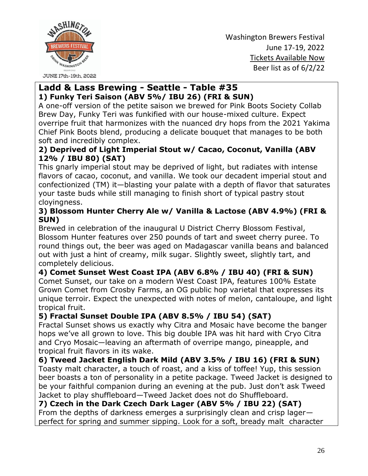

#### **Ladd & Lass Brewing - Seattle - Table #35 1) Funky Teri Saison (ABV 5%/ IBU 26) (FRI & SUN)**

A one-off version of the petite saison we brewed for Pink Boots Society Collab Brew Day, Funky Teri was funkified with our house-mixed culture. Expect overripe fruit that harmonizes with the nuanced dry hops from the 2021 Yakima Chief Pink Boots blend, producing a delicate bouquet that manages to be both soft and incredibly complex.

#### **2) Deprived of Light Imperial Stout w/ Cacao, Coconut, Vanilla (ABV 12% / IBU 80) (SAT)**

This gnarly imperial stout may be deprived of light, but radiates with intense flavors of cacao, coconut, and vanilla. We took our decadent imperial stout and confectionized (TM) it—blasting your palate with a depth of flavor that saturates your taste buds while still managing to finish short of typical pastry stout cloyingness.

#### **3) Blossom Hunter Cherry Ale w/ Vanilla & Lactose (ABV 4.9%) (FRI & SUN)**

Brewed in celebration of the inaugural U District Cherry Blossom Festival, Blossom Hunter features over 250 pounds of tart and sweet cherry puree. To round things out, the beer was aged on Madagascar vanilla beans and balanced out with just a hint of creamy, milk sugar. Slightly sweet, slightly tart, and completely delicious.

# **4) Comet Sunset West Coast IPA (ABV 6.8% / IBU 40) (FRI & SUN)**

Comet Sunset, our take on a modern West Coast IPA, features 100% Estate Grown Comet from Crosby Farms, an OG public hop varietal that expresses its unique terroir. Expect the unexpected with notes of melon, cantaloupe, and light tropical fruit.

# **5) Fractal Sunset Double IPA (ABV 8.5% / IBU 54) (SAT)**

Fractal Sunset shows us exactly why Citra and Mosaic have become the banger hops we've all grown to love. This big double IPA was hit hard with Cryo Citra and Cryo Mosaic—leaving an aftermath of overripe mango, pineapple, and tropical fruit flavors in its wake.

# **6) Tweed Jacket English Dark Mild (ABV 3.5% / IBU 16) (FRI & SUN)**

Toasty malt character, a touch of roast, and a kiss of toffee! Yup, this session beer boasts a ton of personality in a petite package. Tweed Jacket is designed to be your faithful companion during an evening at the pub. Just don't ask Tweed Jacket to play shuffleboard—Tweed Jacket does not do Shuffleboard.

#### **7) Czech in the Dark Czech Dark Lager (ABV 5% / IBU 22) (SAT)**

From the depths of darkness emerges a surprisingly clean and crisp lager perfect for spring and summer sipping. Look for a soft, bready malt character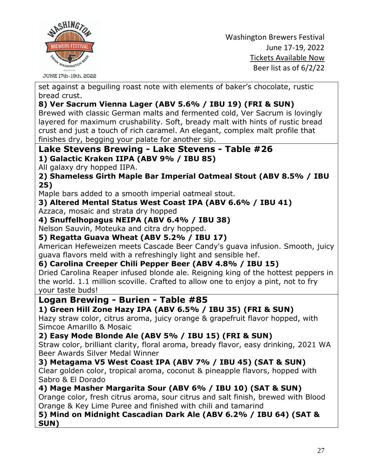

set against a beguiling roast note with elements of baker's chocolate, rustic bread crust.

# **8) Ver Sacrum Vienna Lager (ABV 5.6% / IBU 19) (FRI & SUN)**

Brewed with classic German malts and fermented cold, Ver Sacrum is lovingly layered for maximum crushability. Soft, bready malt with hints of rustic bread crust and just a touch of rich caramel. An elegant, complex malt profile that finishes dry, begging your palate for another sip.

# **Lake Stevens Brewing - Lake Stevens - Table #26**

**1) Galactic Kraken IIPA (ABV 9% / IBU 85)**

All galaxy dry hopped IIPA.

**2) Shameless Girth Maple Bar Imperial Oatmeal Stout (ABV 8.5% / IBU 25)**

Maple bars added to a smooth imperial oatmeal stout.

#### **3) Altered Mental Status West Coast IPA (ABV 6.6% / IBU 41)**

Azzaca, mosaic and strata dry hopped

#### **4) Snuffelhopagus NEIPA (ABV 6.4% / IBU 38)**

Nelson Sauvin, Moteuka and citra dry hopped.

### **5) Regatta Guava Wheat (ABV 5.2% / IBU 17)**

American Hefeweizen meets Cascade Beer Candy's guava infusion. Smooth, juicy guava flavors meld with a refreshingly light and sensible hef.

**6) Carolina Creeper Chili Pepper Beer (ABV 4.8% / IBU 15)**

Dried Carolina Reaper infused blonde ale. Reigning king of the hottest peppers in the world. 1.1 million scoville. Crafted to allow one to enjoy a pint, not to fry your taste buds!

#### **Logan Brewing - Burien - Table #85**

#### **1) Green Hill Zone Hazy IPA (ABV 6.5% / IBU 35) (FRI & SUN)**

Hazy straw color, citrus aroma, juicy orange & grapefruit flavor hopped, with Simcoe Amarillo & Mosaic

**2) Easy Mode Blonde Ale (ABV 5% / IBU 15) (FRI & SUN)**

Straw color, brilliant clarity, floral aroma, bready flavor, easy drinking, 2021 WA Beer Awards Silver Medal Winner

**3) Metagama V5 West Coast IPA (ABV 7% / IBU 45) (SAT & SUN)**

Clear golden color, tropical aroma, coconut & pineapple flavors, hopped with Sabro & El Dorado

# **4) Mage Masher Margarita Sour (ABV 6% / IBU 10) (SAT & SUN)**

Orange color, fresh citrus aroma, sour citrus and salt finish, brewed with Blood Orange & Key Lime Puree and finished with chili and tamarind

#### **5) Mind on Midnight Cascadian Dark Ale (ABV 6.2% / IBU 64) (SAT & SUN)**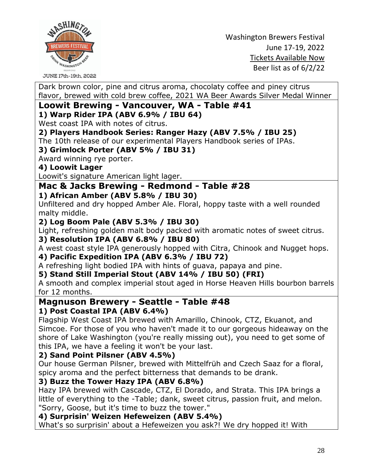

Dark brown color, pine and citrus aroma, chocolaty coffee and piney citrus flavor, brewed with cold brew coffee, 2021 WA Beer Awards Silver Medal Winner

## **Loowit Brewing - Vancouver, WA - Table #41**

#### **1) Warp Rider IPA (ABV 6.9% / IBU 64)**

West coast IPA with notes of citrus.

#### **2) Players Handbook Series: Ranger Hazy (ABV 7.5% / IBU 25)**

The 10th release of our experimental Players Handbook series of IPAs.

#### **3) Grimlock Porter (ABV 5% / IBU 31)**

Award winning rye porter.

#### **4) Loowit Lager**

Loowit's signature American light lager.

#### **Mac & Jacks Brewing - Redmond - Table #28 1) African Amber (ABV 5.8% / IBU 30)**

Unfiltered and dry hopped Amber Ale. Floral, hoppy taste with a well rounded malty middle.

#### **2) Log Boom Pale (ABV 5.3% / IBU 30)**

Light, refreshing golden malt body packed with aromatic notes of sweet citrus.

## **3) Resolution IPA (ABV 6.8% / IBU 80)**

A west coast style IPA generously hopped with Citra, Chinook and Nugget hops.

#### **4) Pacific Expedition IPA (ABV 6.3% / IBU 72)**

A refreshing light bodied IPA with hints of guava, papaya and pine.

#### **5) Stand Still Imperial Stout (ABV 14% / IBU 50) (FRI)**

A smooth and complex imperial stout aged in Horse Heaven Hills bourbon barrels for 12 months.

# **Magnuson Brewery - Seattle - Table #48**

#### **1) Post Coastal IPA (ABV 6.4%)**

Flagship West Coast IPA brewed with Amarillo, Chinook, CTZ, Ekuanot, and Simcoe. For those of you who haven't made it to our gorgeous hideaway on the shore of Lake Washington (you're really missing out), you need to get some of this IPA, we have a feeling it won't be your last.

# **2) Sand Point Pilsner (ABV 4.5%)**

Our house German Pilsner, brewed with Mittelfrüh and Czech Saaz for a floral, spicy aroma and the perfect bitterness that demands to be drank.

#### **3) Buzz the Tower Hazy IPA (ABV 6.8%)**

Hazy IPA brewed with Cascade, CTZ, El Dorado, and Strata. This IPA brings a little of everything to the -Table; dank, sweet citrus, passion fruit, and melon. "Sorry, Goose, but it's time to buzz the tower."

#### **4) Surprisin' Weizen Hefeweizen (ABV 5.4%)**

What's so surprisin' about a Hefeweizen you ask?! We dry hopped it! With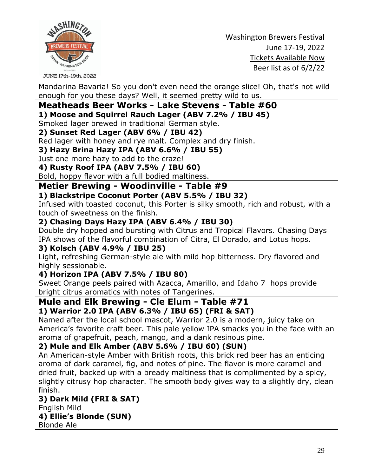

Mandarina Bavaria! So you don't even need the orange slice! Oh, that's not wild enough for you these days? Well, it seemed pretty wild to us.

# **Meatheads Beer Works - Lake Stevens - Table #60**

#### **1) Moose and Squirrel Rauch Lager (ABV 7.2% / IBU 45)**

Smoked lager brewed in traditional German style.

#### **2) Sunset Red Lager (ABV 6% / IBU 42)**

Red lager with honey and rye malt. Complex and dry finish.

#### **3) Hazy Brina Hazy IPA (ABV 6.6% / IBU 55)**

Just one more hazy to add to the craze!

**4) Rusty Roof IPA (ABV 7.5% / IBU 60)**

Bold, hoppy flavor with a full bodied maltiness.

# **Metier Brewing - Woodinville - Table #9**

## **1) Blackstripe Coconut Porter (ABV 5.5% / IBU 32)**

Infused with toasted coconut, this Porter is silky smooth, rich and robust, with a touch of sweetness on the finish.

#### **2) Chasing Days Hazy IPA (ABV 6.4% / IBU 30)**

Double dry hopped and bursting with Citrus and Tropical Flavors. Chasing Days IPA shows of the flavorful combination of Citra, El Dorado, and Lotus hops.

#### **3) Kolsch (ABV 4.9% / IBU 25)**

Light, refreshing German-style ale with mild hop bitterness. Dry flavored and highly sessionable.

# **4) Horizon IPA (ABV 7.5% / IBU 80)**

Sweet Orange peels paired with Azacca, Amarillo, and Idaho 7 hops provide bright citrus aromatics with notes of Tangerines.

#### **Mule and Elk Brewing - Cle Elum - Table #71 1) Warrior 2.0 IPA (ABV 6.3% / IBU 65) (FRI & SAT)**

Named after the local school mascot, Warrior 2.0 is a modern, juicy take on America's favorite craft beer. This pale yellow IPA smacks you in the face with an aroma of grapefruit, peach, mango, and a dank resinous pine.

#### **2) Mule and Elk Amber (ABV 5.6% / IBU 60) (SUN)**

An American-style Amber with British roots, this brick red beer has an enticing aroma of dark caramel, fig, and notes of pine. The flavor is more caramel and dried fruit, backed up with a bready maltiness that is complimented by a spicy, slightly citrusy hop character. The smooth body gives way to a slightly dry, clean finish.

#### **3) Dark Mild (FRI & SAT)**

English Mild

**4) Ellie's Blonde (SUN)**

Blonde Ale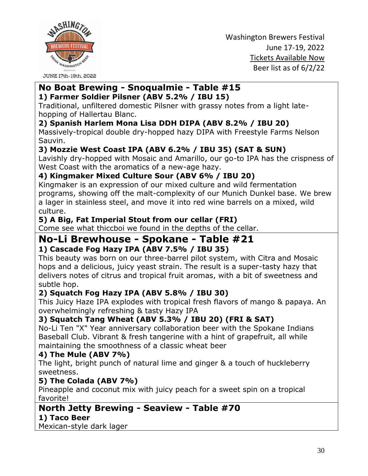

#### **No Boat Brewing - Snoqualmie - Table #15 1) Farmer Soldier Pilsner (ABV 5.2% / IBU 15)**

Traditional, unfiltered domestic Pilsner with grassy notes from a light latehopping of Hallertau Blanc.

# **2) Spanish Harlem Mona Lisa DDH DIPA (ABV 8.2% / IBU 20)**

Massively-tropical double dry-hopped hazy DIPA with Freestyle Farms Nelson Sauvin.

# **3) Mozzie West Coast IPA (ABV 6.2% / IBU 35) (SAT & SUN)**

Lavishly dry-hopped with Mosaic and Amarillo, our go-to IPA has the crispness of West Coast with the aromatics of a new-age hazy.

# **4) Kingmaker Mixed Culture Sour (ABV 6% / IBU 20)**

Kingmaker is an expression of our mixed culture and wild fermentation programs, showing off the malt-complexity of our Munich Dunkel base. We brew a lager in stainless steel, and move it into red wine barrels on a mixed, wild culture.

# **5) A Big, Fat Imperial Stout from our cellar (FRI)**

Come see what thiccboi we found in the depths of the cellar.

# **No-Li Brewhouse - Spokane - Table #21**

# **1) Cascade Fog Hazy IPA (ABV 7.5% / IBU 35)**

This beauty was born on our three-barrel pilot system, with Citra and Mosaic hops and a delicious, juicy yeast strain. The result is a super-tasty hazy that delivers notes of citrus and tropical fruit aromas, with a bit of sweetness and subtle hop.

# **2) Squatch Fog Hazy IPA (ABV 5.8% / IBU 30)**

This Juicy Haze IPA explodes with tropical fresh flavors of mango & papaya. An overwhelmingly refreshing & tasty Hazy IPA

# **3) Squatch Tang Wheat (ABV 5.3% / IBU 20) (FRI & SAT)**

No-Li Ten "X" Year anniversary collaboration beer with the Spokane Indians Baseball Club. Vibrant & fresh tangerine with a hint of grapefruit, all while maintaining the smoothness of a classic wheat beer

# **4) The Mule (ABV 7%)**

The light, bright punch of natural lime and ginger & a touch of huckleberry sweetness.

# **5) The Colada (ABV 7%)**

Pineapple and coconut mix with juicy peach for a sweet spin on a tropical favorite!

# **North Jetty Brewing - Seaview - Table #70**

## **1) Taco Beer**

Mexican-style dark lager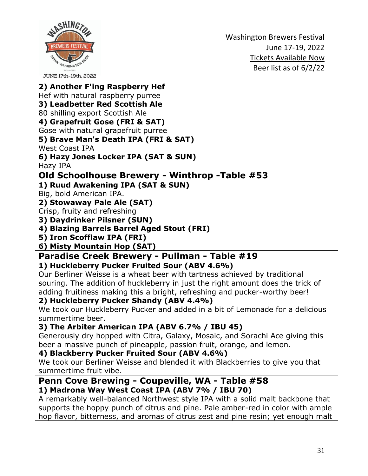

#### JUNE 17th-19th, 2022 **2) Another F'ing Raspberry Hef** Hef with natural raspberry purree **3) Leadbetter Red Scottish Ale** 80 shilling export Scottish Ale **4) Grapefruit Gose (FRI & SAT)** Gose with natural grapefruit purree **5) Brave Man's Death IPA (FRI & SAT)** West Coast IPA **6) Hazy Jones Locker IPA (SAT & SUN)** Hazy IPA **Old Schoolhouse Brewery - Winthrop -Table #53 1) Ruud Awakening IPA (SAT & SUN)** Big, bold American IPA. **2) Stowaway Pale Ale (SAT)** Crisp, fruity and refreshing **3) Daydrinker Pilsner (SUN) 4) Blazing Barrels Barrel Aged Stout (FRI) 5) Iron Scofflaw IPA (FRI) 6) Misty Mountain Hop (SAT) Paradise Creek Brewery - Pullman - Table #19 1) Huckleberry Pucker Fruited Sour (ABV 4.6%)** Our Berliner Weisse is a wheat beer with tartness achieved by traditional souring. The addition of huckleberry in just the right amount does the trick of adding fruitiness making this a bright, refreshing and pucker-worthy beer! **2) Huckleberry Pucker Shandy (ABV 4.4%)** We took our Huckleberry Pucker and added in a bit of Lemonade for a delicious summertime beer. **3) The Arbiter American IPA (ABV 6.7% / IBU 45)** Generously dry hopped with Citra, Galaxy, Mosaic, and Sorachi Ace giving this beer a massive punch of pineapple, passion fruit, orange, and lemon. **4) Blackberry Pucker Fruited Sour (ABV 4.6%)** We took our Berliner Weisse and blended it with Blackberries to give you that summertime fruit vibe. **Penn Cove Brewing - Coupeville, WA - Table #58 1) Madrona Way West Coast IPA (ABV 7% / IBU 70)** A remarkably well-balanced Northwest style IPA with a solid malt backbone that supports the hoppy punch of citrus and pine. Pale amber-red in color with ample

hop flavor, bitterness, and aromas of citrus zest and pine resin; yet enough malt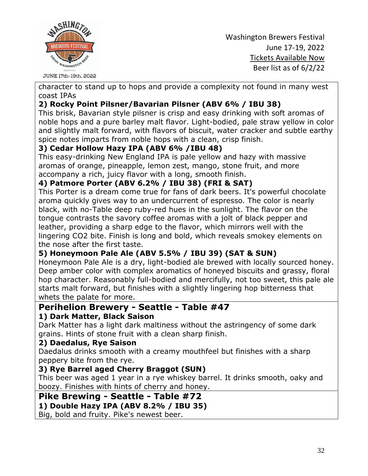

character to stand up to hops and provide a complexity not found in many west coast IPAs

# **2) Rocky Point Pilsner/Bavarian Pilsner (ABV 6% / IBU 38)**

This brisk, Bavarian style pilsner is crisp and easy drinking with soft aromas of noble hops and a pure barley malt flavor. Light-bodied, pale straw yellow in color and slightly malt forward, with flavors of biscuit, water cracker and subtle earthy spice notes imparts from noble hops with a clean, crisp finish.

#### **3) Cedar Hollow Hazy IPA (ABV 6% /IBU 48)**

This easy-drinking New England IPA is pale yellow and hazy with massive aromas of orange, pineapple, lemon zest, mango, stone fruit, and more accompany a rich, juicy flavor with a long, smooth finish.

#### **4) Patmore Porter (ABV 6.2% / IBU 38) (FRI & SAT)**

This Porter is a dream come true for fans of dark beers. It's powerful chocolate aroma quickly gives way to an undercurrent of espresso. The color is nearly black, with no-Table deep ruby-red hues in the sunlight. The flavor on the tongue contrasts the savory coffee aromas with a jolt of black pepper and leather, providing a sharp edge to the flavor, which mirrors well with the lingering CO2 bite. Finish is long and bold, which reveals smokey elements on the nose after the first taste.

#### **5) Honeymoon Pale Ale (ABV 5.5% / IBU 39) (SAT & SUN)**

Honeymoon Pale Ale is a dry, light-bodied ale brewed with locally sourced honey. Deep amber color with complex aromatics of honeyed biscuits and grassy, floral hop character. Reasonably full-bodied and mercifully, not too sweet, this pale ale starts malt forward, but finishes with a slightly lingering hop bitterness that whets the palate for more.

# **Perihelion Brewery - Seattle - Table #47**

#### **1) Dark Matter, Black Saison**

Dark Matter has a light dark maltiness without the astringency of some dark grains. Hints of stone fruit with a clean sharp finish.

#### **2) Daedalus, Rye Saison**

Daedalus drinks smooth with a creamy mouthfeel but finishes with a sharp peppery bite from the rye.

#### **3) Rye Barrel aged Cherry Braggot (SUN)**

This beer was aged 1 year in a rye whiskey barrel. It drinks smooth, oaky and boozy. Finishes with hints of cherry and honey.

#### **Pike Brewing - Seattle - Table #72**

**1) Double Hazy IPA (ABV 8.2% / IBU 35)**

Big, bold and fruity. Pike's newest beer.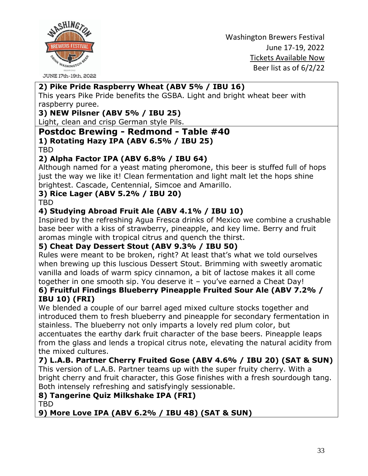

**2) Pike Pride Raspberry Wheat (ABV 5% / IBU 16)**

This years Pike Pride benefits the GSBA. Light and bright wheat beer with raspberry puree.

# **3) NEW Pilsner (ABV 5% / IBU 25)**

Light, clean and crisp German style Pils.

# **Postdoc Brewing - Redmond - Table #40**

**1) Rotating Hazy IPA (ABV 6.5% / IBU 25)**

TBD

## **2) Alpha Factor IPA (ABV 6.8% / IBU 64)**

Although named for a yeast mating pheromone, this beer is stuffed full of hops just the way we like it! Clean fermentation and light malt let the hops shine brightest. Cascade, Centennial, Simcoe and Amarillo.

#### **3) Rice Lager (ABV 5.2% / IBU 20)**

TBD

#### **4) Studying Abroad Fruit Ale (ABV 4.1% / IBU 10)**

Inspired by the refreshing Agua Fresca drinks of Mexico we combine a crushable base beer with a kiss of strawberry, pineapple, and key lime. Berry and fruit aromas mingle with tropical citrus and quench the thirst.

#### **5) Cheat Day Dessert Stout (ABV 9.3% / IBU 50)**

Rules were meant to be broken, right? At least that's what we told ourselves when brewing up this luscious Dessert Stout. Brimming with sweetly aromatic vanilla and loads of warm spicy cinnamon, a bit of lactose makes it all come together in one smooth sip. You deserve it – you've earned a Cheat Day!

#### **6) Fruitful Findings Blueberry Pineapple Fruited Sour Ale (ABV 7.2% / IBU 10) (FRI)**

We blended a couple of our barrel aged mixed culture stocks together and introduced them to fresh blueberry and pineapple for secondary fermentation in stainless. The blueberry not only imparts a lovely red plum color, but accentuates the earthy dark fruit character of the base beers. Pineapple leaps

from the glass and lends a tropical citrus note, elevating the natural acidity from the mixed cultures.

#### **7) L.A.B. Partner Cherry Fruited Gose (ABV 4.6% / IBU 20) (SAT & SUN)**

This version of L.A.B. Partner teams up with the super fruity cherry. With a bright cherry and fruit character, this Gose finishes with a fresh sourdough tang. Both intensely refreshing and satisfyingly sessionable.

#### **8) Tangerine Quiz Milkshake IPA (FRI)**

TBD

**9) More Love IPA (ABV 6.2% / IBU 48) (SAT & SUN)**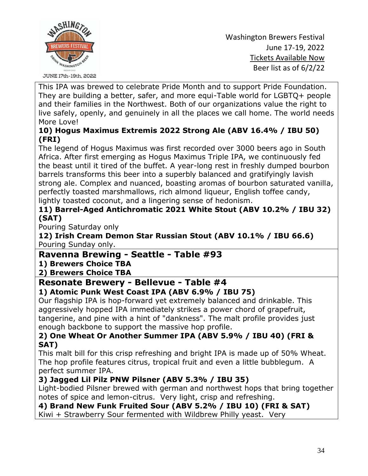

This IPA was brewed to celebrate Pride Month and to support Pride Foundation. They are building a better, safer, and more equi-Table world for LGBTQ+ people and their families in the Northwest. Both of our organizations value the right to live safely, openly, and genuinely in all the places we call home. The world needs More Love!

#### **10) Hogus Maximus Extremis 2022 Strong Ale (ABV 16.4% / IBU 50) (FRI)**

The legend of Hogus Maximus was first recorded over 3000 beers ago in South Africa. After first emerging as Hogus Maximus Triple IPA, we continuously fed the beast until it tired of the buffet. A year-long rest in freshly dumped bourbon barrels transforms this beer into a superbly balanced and gratifyingly lavish strong ale. Complex and nuanced, boasting aromas of bourbon saturated vanilla, perfectly toasted marshmallows, rich almond liqueur, English toffee candy, lightly toasted coconut, and a lingering sense of hedonism.

#### **11) Barrel-Aged Antichromatic 2021 White Stout (ABV 10.2% / IBU 32) (SAT)**

Pouring Saturday only

**12) Irish Cream Demon Star Russian Stout (ABV 10.1% / IBU 66.6)** Pouring Sunday only.

# **Ravenna Brewing - Seattle - Table #93**

**1) Brewers Choice TBA**

#### **2) Brewers Choice TBA**

# **Resonate Brewery - Bellevue - Table #4**

## **1) Atomic Punk West Coast IPA (ABV 6.9% / IBU 75)**

Our flagship IPA is hop-forward yet extremely balanced and drinkable. This aggressively hopped IPA immediately strikes a power chord of grapefruit, tangerine, and pine with a hint of "dankness". The malt profile provides just enough backbone to support the massive hop profile.

#### **2) One Wheat Or Another Summer IPA (ABV 5.9% / IBU 40) (FRI & SAT)**

This malt bill for this crisp refreshing and bright IPA is made up of 50% Wheat. The hop profile features citrus, tropical fruit and even a little bubblegum. A perfect summer IPA.

# **3) Jagged Lil Pilz PNW Pilsner (ABV 5.3% / IBU 35)**

Light-bodied Pilsner brewed with german and northwest hops that bring together notes of spice and lemon-citrus. Very light, crisp and refreshing.

# **4) Brand New Funk Fruited Sour (ABV 5.2% / IBU 10) (FRI & SAT)**

Kiwi + Strawberry Sour fermented with Wildbrew Philly yeast. Very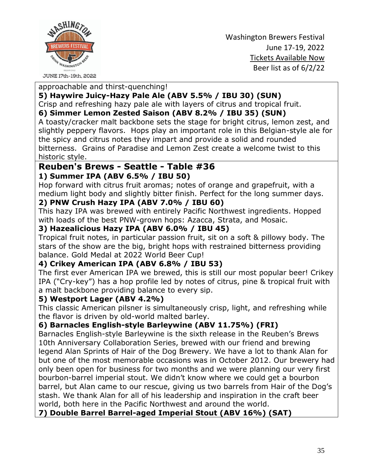

approachable and thirst-quenching!

#### **5) Haywire Juicy-Hazy Pale Ale (ABV 5.5% / IBU 30) (SUN)**

Crisp and refreshing hazy pale ale with layers of citrus and tropical fruit.

#### **6) Simmer Lemon Zested Saison (ABV 8.2% / IBU 35) (SUN)**

A toasty/cracker malt backbone sets the stage for bright citrus, lemon zest, and slightly peppery flavors. Hops play an important role in this Belgian-style ale for the spicy and citrus notes they impart and provide a solid and rounded bitterness. Grains of Paradise and Lemon Zest create a welcome twist to this historic style.

#### **Reuben's Brews - Seattle - Table #36 1) Summer IPA (ABV 6.5% / IBU 50)**

Hop forward with citrus fruit aromas; notes of orange and grapefruit, with a medium light body and slightly bitter finish. Perfect for the long summer days.

#### **2) PNW Crush Hazy IPA (ABV 7.0% / IBU 60)**

This hazy IPA was brewed with entirely Pacific Northwest ingredients. Hopped with loads of the best PNW-grown hops: Azacca, Strata, and Mosaic.

#### **3) Hazealicious Hazy IPA (ABV 6.0% / IBU 45)**

Tropical fruit notes, in particular passion fruit, sit on a soft & pillowy body. The stars of the show are the big, bright hops with restrained bitterness providing balance. Gold Medal at 2022 World Beer Cup!

#### **4) Crikey American IPA (ABV 6.8% / IBU 53)**

The first ever American IPA we brewed, this is still our most popular beer! Crikey IPA ("Cry-key") has a hop profile led by notes of citrus, pine & tropical fruit with a malt backbone providing balance to every sip.

#### **5) Westport Lager (ABV 4.2%)**

This classic American pilsner is simultaneously crisp, light, and refreshing while the flavor is driven by old-world malted barley.

#### **6) Barnacles English-style Barleywine (ABV 11.75%) (FRI)**

Barnacles English-style Barleywine is the sixth release in the Reuben's Brews 10th Anniversary Collaboration Series, brewed with our friend and brewing legend Alan Sprints of Hair of the Dog Brewery. We have a lot to thank Alan for but one of the most memorable occasions was in October 2012. Our brewery had only been open for business for two months and we were planning our very first bourbon-barrel imperial stout. We didn't know where we could get a bourbon barrel, but Alan came to our rescue, giving us two barrels from Hair of the Dog's stash. We thank Alan for all of his leadership and inspiration in the craft beer world, both here in the Pacific Northwest and around the world.

#### **7) Double Barrel Barrel-aged Imperial Stout (ABV 16%) (SAT)**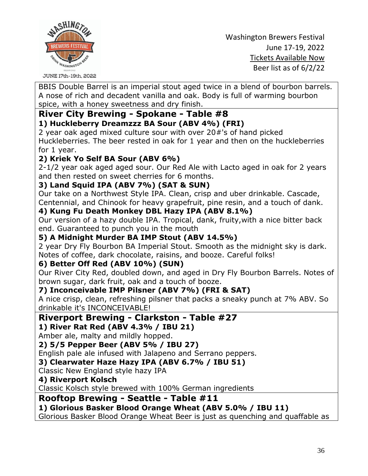

BBIS Double Barrel is an imperial stout aged twice in a blend of bourbon barrels. A nose of rich and decadent vanilla and oak. Body is full of warming bourbon spice, with a honey sweetness and dry finish.

# **River City Brewing - Spokane - Table #8**

#### **1) Huckleberry Dreamzzz BA Sour (ABV 4%) (FRI)**

2 year oak aged mixed culture sour with over 20#'s of hand picked Huckleberries. The beer rested in oak for 1 year and then on the huckleberries for 1 year.

#### **2) Kriek Yo Self BA Sour (ABV 6%)**

2-1/2 year oak aged aged sour. Our Red Ale with Lacto aged in oak for 2 years and then rested on sweet cherries for 6 months.

#### **3) Land Squid IPA (ABV 7%) (SAT & SUN)**

Our take on a Northwest Style IPA. Clean, crisp and uber drinkable. Cascade, Centennial, and Chinook for heavy grapefruit, pine resin, and a touch of dank.

#### **4) Kung Fu Death Monkey DBL Hazy IPA (ABV 8.1%)**

Our version of a hazy double IPA. Tropical, dank, fruity,with a nice bitter back end. Guaranteed to punch you in the mouth

#### **5) A Midnight Murder BA IMP Stout (ABV 14.5%)**

2 year Dry Fly Bourbon BA Imperial Stout. Smooth as the midnight sky is dark. Notes of coffee, dark chocolate, raisins, and booze. Careful folks!

#### **6) Better Off Red (ABV 10%) (SUN)**

Our River City Red, doubled down, and aged in Dry Fly Bourbon Barrels. Notes of brown sugar, dark fruit, oak and a touch of booze.

#### **7) Inconceivable IMP Pilsner (ABV 7%) (FRI & SAT)**

A nice crisp, clean, refreshing pilsner that packs a sneaky punch at 7% ABV. So drinkable it's INCONCEIVABLE!

#### **Riverport Brewing - Clarkston - Table #27**

**1) River Rat Red (ABV 4.3% / IBU 21)**

Amber ale, malty and mildly hopped.

#### **2) 5/5 Pepper Beer (ABV 5% / IBU 27)**

English pale ale infused with Jalapeno and Serrano peppers.

#### **3) Clearwater Haze Hazy IPA (ABV 6.7% / IBU 51)**

Classic New England style hazy IPA

#### **4) Riverport Kolsch**

Classic Kolsch style brewed with 100% German ingredients

#### **Rooftop Brewing - Seattle - Table #11**

**1) Glorious Basker Blood Orange Wheat (ABV 5.0% / IBU 11)**

Glorious Basker Blood Orange Wheat Beer is just as quenching and quaffable as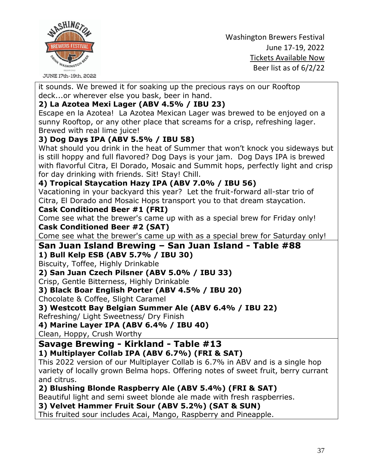

it sounds. We brewed it for soaking up the precious rays on our Rooftop deck...or wherever else you bask, beer in hand.

# **2) La Azotea Mexi Lager (ABV 4.5% / IBU 23)**

Escape en la Azotea! La Azotea Mexican Lager was brewed to be enjoyed on a sunny Rooftop, or any other place that screams for a crisp, refreshing lager. Brewed with real lime juice!

#### **3) Dog Days IPA (ABV 5.5% / IBU 58)**

What should you drink in the heat of Summer that won't knock you sideways but is still hoppy and full flavored? Dog Days is your jam. Dog Days IPA is brewed with flavorful Citra, El Dorado, Mosaic and Summit hops, perfectly light and crisp for day drinking with friends. Sit! Stay! Chill.

## **4) Tropical Staycation Hazy IPA (ABV 7.0% / IBU 56)**

Vacationing in your backyard this year? Let the fruit-forward all-star trio of Citra, El Dorado and Mosaic Hops transport you to that dream staycation.

#### **Cask Conditioned Beer #1 (FRI)**

Come see what the brewer's came up with as a special brew for Friday only! **Cask Conditioned Beer #2 (SAT)**

Come see what the brewer's came up with as a special brew for Saturday only!

# **San Juan Island Brewing – San Juan Island - Table #88**

**1) Bull Kelp ESB (ABV 5.7% / IBU 30)**

Biscuity, Toffee, Highly Drinkable

**2) San Juan Czech Pilsner (ABV 5.0% / IBU 33)**

Crisp, Gentle Bitterness, Highly Drinkable

#### **3) Black Boar English Porter (ABV 4.5% / IBU 20)**

Chocolate & Coffee, Slight Caramel

**3) Westcott Bay Belgian Summer Ale (ABV 6.4% / IBU 22)**

Refreshing/ Light Sweetness/ Dry Finish

#### **4) Marine Layer IPA (ABV 6.4% / IBU 40)**

Clean, Hoppy, Crush Worthy

# **Savage Brewing - Kirkland - Table #13**

#### **1) Multiplayer Collab IPA (ABV 6.7%) (FRI & SAT)**

This 2022 version of our Multiplayer Collab is 6.7% in ABV and is a single hop variety of locally grown Belma hops. Offering notes of sweet fruit, berry currant and citrus.

**2) Blushing Blonde Raspberry Ale (ABV 5.4%) (FRI & SAT)**

Beautiful light and semi sweet blonde ale made with fresh raspberries.

#### **3) Velvet Hammer Fruit Sour (ABV 5.2%) (SAT & SUN)**

This fruited sour includes Acai, Mango, Raspberry and Pineapple.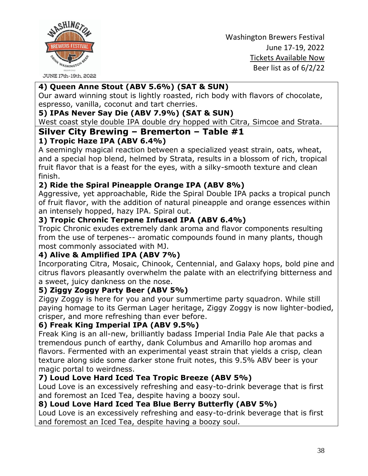

# **4) Queen Anne Stout (ABV 5.6%) (SAT & SUN)**

Our award winning stout is lightly roasted, rich body with flavors of chocolate, espresso, vanilla, coconut and tart cherries.

#### **5) IPAs Never Say Die (ABV 7.9%) (SAT & SUN)**

West coast style double IPA double dry hopped with Citra, Simcoe and Strata.

#### **Silver City Brewing – Bremerton – Table #1**

#### **1) Tropic Haze IPA (ABV 6.4%)**

A seemingly magical reaction between a specialized yeast strain, oats, wheat, and a special hop blend, helmed by Strata, results in a blossom of rich, tropical fruit flavor that is a feast for the eyes, with a silky-smooth texture and clean finish.

#### **2) Ride the Spiral Pineapple Orange IPA (ABV 8%)**

Aggressive, yet approachable, Ride the Spiral Double IPA packs a tropical punch of fruit flavor, with the addition of natural pineapple and orange essences within an intensely hopped, hazy IPA. Spiral out.

#### **3) Tropic Chronic Terpene Infused IPA (ABV 6.4%)**

Tropic Chronic exudes extremely dank aroma and flavor components resulting from the use of terpenes-- aromatic compounds found in many plants, though most commonly associated with MJ.

#### **4) Alive & Amplified IPA (ABV 7%)**

Incorporating Citra, Mosaic, Chinook, Centennial, and Galaxy hops, bold pine and citrus flavors pleasantly overwhelm the palate with an electrifying bitterness and a sweet, juicy dankness on the nose.

#### **5) Ziggy Zoggy Party Beer (ABV 5%)**

Ziggy Zoggy is here for you and your summertime party squadron. While still paying homage to its German Lager heritage, Ziggy Zoggy is now lighter-bodied, crisper, and more refreshing than ever before.

#### **6) Freak King Imperial IPA (ABV 9.5%)**

Freak King is an all-new, brilliantly badass Imperial India Pale Ale that packs a tremendous punch of earthy, dank Columbus and Amarillo hop aromas and flavors. Fermented with an experimental yeast strain that yields a crisp, clean texture along side some darker stone fruit notes, this 9.5% ABV beer is your magic portal to weirdness.

#### **7) Loud Love Hard Iced Tea Tropic Breeze (ABV 5%)**

Loud Love is an excessively refreshing and easy-to-drink beverage that is first and foremost an Iced Tea, despite having a boozy soul.

#### **8) Loud Love Hard Iced Tea Blue Berry Butterfly (ABV 5%)**

Loud Love is an excessively refreshing and easy-to-drink beverage that is first and foremost an Iced Tea, despite having a boozy soul.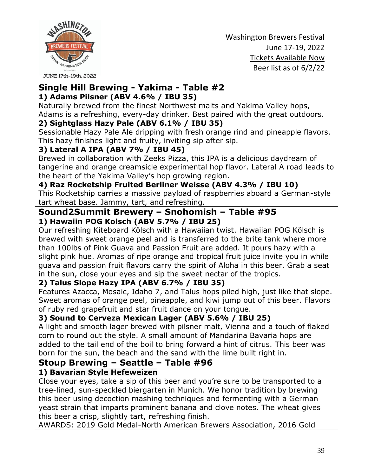

#### **Single Hill Brewing - Yakima - Table #2 1) Adams Pilsner (ABV 4.6% / IBU 35)**

Naturally brewed from the finest Northwest malts and Yakima Valley hops, Adams is a refreshing, every-day drinker. Best paired with the great outdoors.

# **2) Sightglass Hazy Pale (ABV 6.1% / IBU 35)**

Sessionable Hazy Pale Ale dripping with fresh orange rind and pineapple flavors. This hazy finishes light and fruity, inviting sip after sip.

## **3) Lateral A IPA (ABV 7% / IBU 45)**

Brewed in collaboration with Zeeks Pizza, this IPA is a delicious daydream of tangerine and orange creamsicle experimental hop flavor. Lateral A road leads to the heart of the Yakima Valley's hop growing region.

**4) Raz Rocketship Fruited Berliner Weisse (ABV 4.3% / IBU 10)** This Rocketship carries a massive payload of raspberries aboard a German-style tart wheat base. Jammy, tart, and refreshing.

## **Sound2Summit Brewery – Snohomish – Table #95 1) Hawaiin POG Kolsch (ABV 5.7% / IBU 25)**

Our refreshing Kiteboard Kölsch with a Hawaiian twist. Hawaiian POG Kölsch is brewed with sweet orange peel and is transferred to the brite tank where more than 100lbs of Pink Guava and Passion Fruit are added. It pours hazy with a slight pink hue. Aromas of ripe orange and tropical fruit juice invite you in while guava and passion fruit flavors carry the spirit of Aloha in this beer. Grab a seat in the sun, close your eyes and sip the sweet nectar of the tropics.

# **2) Talus Slope Hazy IPA (ABV 6.7% / IBU 35)**

Features Azacca, Mosaic, Idaho 7, and Talus hops piled high, just like that slope. Sweet aromas of orange peel, pineapple, and kiwi jump out of this beer. Flavors of ruby red grapefruit and star fruit dance on your tongue.

# **3) Sound to Cerveza Mexican Lager (ABV 5.6% / IBU 25)**

A light and smooth lager brewed with pilsner malt, Vienna and a touch of flaked corn to round out the style. A small amount of Mandarina Bavaria hops are added to the tail end of the boil to bring forward a hint of citrus. This beer was born for the sun, the beach and the sand with the lime built right in.

# **Stoup Brewing – Seattle – Table #96**

#### **1) Bavarian Style Hefeweizen**

Close your eyes, take a sip of this beer and you're sure to be transported to a tree-lined, sun-speckled biergarten in Munich. We honor tradition by brewing this beer using decoction mashing techniques and fermenting with a German yeast strain that imparts prominent banana and clove notes. The wheat gives this beer a crisp, slightly tart, refreshing finish.

AWARDS: 2019 Gold Medal-North American Brewers Association, 2016 Gold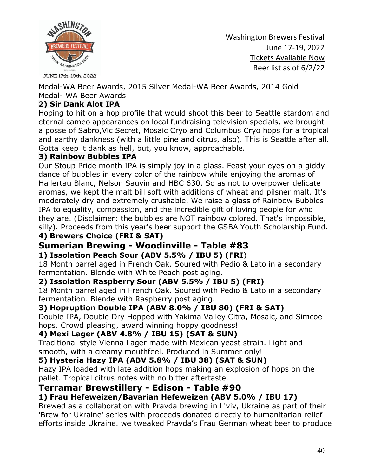

Medal-WA Beer Awards, 2015 Silver Medal-WA Beer Awards, 2014 Gold

# Medal- WA Beer Awards

#### **2) Sir Dank Alot IPA**

Hoping to hit on a hop profile that would shoot this beer to Seattle stardom and eternal cameo appearances on local fundraising television specials, we brought a posse of Sabro,Vic Secret, Mosaic Cryo and Columbus Cryo hops for a tropical and earthy dankness (with a little pine and citrus, also). This is Seattle after all. Gotta keep it dank as hell, but, you know, approachable.

#### **3) Rainbow Bubbles IPA**

Our Stoup Pride month IPA is simply joy in a glass. Feast your eyes on a giddy dance of bubbles in every color of the rainbow while enjoying the aromas of Hallertau Blanc, Nelson Sauvin and HBC 630. So as not to overpower delicate aromas, we kept the malt bill soft with additions of wheat and pilsner malt. It's moderately dry and extremely crushable. We raise a glass of Rainbow Bubbles IPA to equality, compassion, and the incredible gift of loving people for who they are. (Disclaimer: the bubbles are NOT rainbow colored. That's impossible, silly). Proceeds from this year's beer support the GSBA Youth Scholarship Fund.

### **4) Brewers Choice (FRI & SAT)**

# **Sumerian Brewing - Woodinville - Table #83**

# **1) Issolation Peach Sour (ABV 5.5% / IBU 5) (FRI**)

18 Month barrel aged in French Oak. Soured with Pedio & Lato in a secondary fermentation. Blende with White Peach post aging.

#### **2) Issolation Raspberry Sour (ABV 5.5% / IBU 5) (FRI)**

18 Month barrel aged in French Oak. Soured with Pedio & Lato in a secondary fermentation. Blende with Raspberry post aging.

#### **3) Hopruption Double IPA (ABV 8.0% / IBU 80) (FRI & SAT)**

Double IPA, Double Dry Hopped with Yakima Valley Citra, Mosaic, and Simcoe hops. Crowd pleasing, award winning hoppy goodness!

#### **4) Mexi Lager (ABV 4.8% / IBU 15) (SAT & SUN)**

Traditional style Vienna Lager made with Mexican yeast strain. Light and smooth, with a creamy mouthfeel. Produced in Summer only!

#### **5) Hysteria Hazy IPA (ABV 5.8% / IBU 38) (SAT & SUN)**

Hazy IPA loaded with late addition hops making an explosion of hops on the pallet. Tropical citrus notes with no bitter aftertaste.

# **Terramar Brewstillery - Edison - Table #90**

#### **1) Frau Hefeweizen/Bavarian Hefeweizen (ABV 5.0% / IBU 17)**

Brewed as a collaboration with Pravda brewing in L'viv, Ukraine as part of their 'Brew for Ukraine' series with proceeds donated directly to humanitarian relief efforts inside Ukraine. we tweaked Pravda's Frau German wheat beer to produce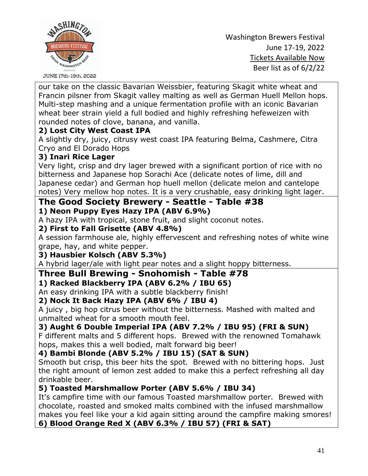

our take on the classic Bavarian Weissbier, featuring Skagit white wheat and Francin pilsner from Skagit valley malting as well as German Huell Mellon hops. Multi-step mashing and a unique fermentation profile with an iconic Bavarian wheat beer strain yield a full bodied and highly refreshing hefeweizen with rounded notes of clove, banana, and vanilla.

## **2) Lost City West Coast IPA**

A slightly dry, juicy, citrusy west coast IPA featuring Belma, Cashmere, Citra Cryo and El Dorado Hops

#### **3) Inari Rice Lager**

Very light, crisp and dry lager brewed with a significant portion of rice with no bitterness and Japanese hop Sorachi Ace (delicate notes of lime, dill and Japanese cedar) and German hop huell mellon (delicate melon and cantelope notes) Very mellow hop notes. It is a very crushable, easy drinking light lager.

# **The Good Society Brewery - Seattle - Table #38**

## **1) Neon Puppy Eyes Hazy IPA (ABV 6.9%)**

A hazy IPA with tropical, stone fruit, and slight coconut notes.

#### **2) First to Fall Grisette (ABV 4.8%)**

A session farmhouse ale, highly effervescent and refreshing notes of white wine grape, hay, and white pepper.

#### **3) Hausbier Kolsch (ABV 5.3%)**

A hybrid lager/ale with light pear notes and a slight hoppy bitterness.

# **Three Bull Brewing - Snohomish - Table #78**

#### **1) Racked Blackberry IPA (ABV 6.2% / IBU 65)**

An easy drinking IPA with a subtle blackberry finish!

#### **2) Nock It Back Hazy IPA (ABV 6% / IBU 4)**

A juicy , big hop citrus beer without the bitterness. Mashed with malted and unmalted wheat for a smooth mouth feel.

#### **3) Aught 6 Double Imperial IPA (ABV 7.2% / IBU 95) (FRI & SUN)**

F different malts and 5 different hops. Brewed with the renowned Tomahawk hops, makes this a well bodied, malt forward big beer!

#### **4) Bambi Blonde (ABV 5.2% / IBU 15) (SAT & SUN)**

Smooth but crisp, this beer hits the spot. Brewed with no bittering hops. Just the right amount of lemon zest added to make this a perfect refreshing all day drinkable beer.

#### **5) Toasted Marshmallow Porter (ABV 5.6% / IBU 34)**

It's campfire time with our famous Toasted marshmallow porter. Brewed with chocolate, roasted and smoked malts combined with the infused marshmallow makes you feel like your a kid again sitting around the campfire making smores!

# **6) Blood Orange Red X (ABV 6.3% / IBU 57) (FRI & SAT)**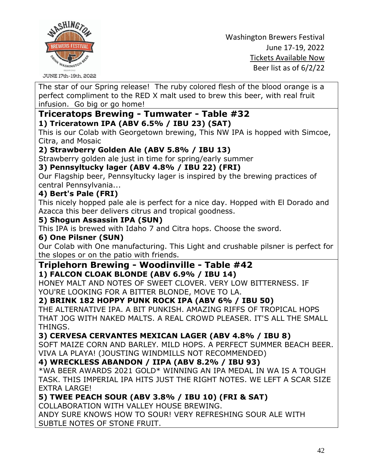

The star of our Spring release! The ruby colored flesh of the blood orange is a perfect compliment to the RED X malt used to brew this beer, with real fruit infusion. Go big or go home!

# **Triceratops Brewing - Tumwater - Table #32**

#### **1) Triceratown IPA (ABV 6.5% / IBU 23) (SAT)**

This is our Colab with Georgetown brewing, This NW IPA is hopped with Simcoe, Citra, and Mosaic

#### **2) Strawberry Golden Ale (ABV 5.8% / IBU 13)**

Strawberry golden ale just in time for spring/early summer

#### **3) Pennsyltucky lager (ABV 4.8% / IBU 22) (FRI)**

Our Flagship beer, Pennsyltucky lager is inspired by the brewing practices of central Pennsylvania...

## **4) Bert's Pale (FRI)**

This nicely hopped pale ale is perfect for a nice day. Hopped with El Dorado and Azacca this beer delivers citrus and tropical goodness.

#### **5) Shogun Assassin IPA (SUN)**

This IPA is brewed with Idaho 7 and Citra hops. Choose the sword.

#### **6) One Pilsner (SUN)**

Our Colab with One manufacturing. This Light and crushable pilsner is perfect for the slopes or on the patio with friends.

# **Triplehorn Brewing - Woodinville - Table #42**

**1) FALCON CLOAK BLONDE (ABV 6.9% / IBU 14)** HONEY MALT AND NOTES OF SWEET CLOVER. VERY LOW BITTERNESS. IF

YOU'RE LOOKING FOR A BITTER BLONDE, MOVE TO LA.

#### **2) BRINK 182 HOPPY PUNK ROCK IPA (ABV 6% / IBU 50)**

THE ALTERNATIVE IPA. A BIT PUNKISH. AMAZING RIFFS OF TROPICAL HOPS THAT JOG WITH NAKED MALTS. A REAL CROWD PLEASER. IT'S ALL THE SMALL THINGS.

#### **3) CERVESA CERVANTES MEXICAN LAGER (ABV 4.8% / IBU 8)**

SOFT MAIZE CORN AND BARLEY. MILD HOPS. A PERFECT SUMMER BEACH BEER. VIVA LA PLAYA! (JOUSTING WINDMILLS NOT RECOMMENDED)

#### **4) WRECKLESS ABANDON / IIPA (ABV 8.2% / IBU 93)**

\*WA BEER AWARDS 2021 GOLD\* WINNING AN IPA MEDAL IN WA IS A TOUGH TASK. THIS IMPERIAL IPA HITS JUST THE RIGHT NOTES. WE LEFT A SCAR SIZE EXTRA LARGE!

#### **5) TWEE PEACH SOUR (ABV 3.8% / IBU 10) (FRI & SAT)**

COLLABORATION WITH VALLEY HOUSE BREWING.

ANDY SURE KNOWS HOW TO SOUR! VERY REFRESHING SOUR ALE WITH SUBTLE NOTES OF STONE FRUIT.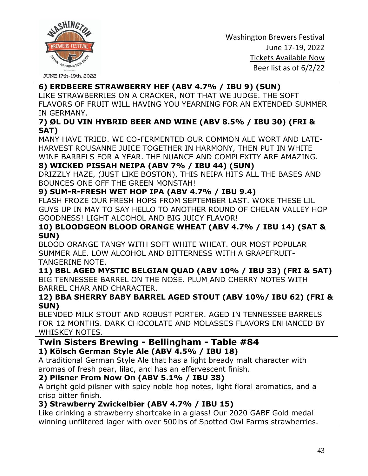

**6) ERDBEERE STRAWBERRY HEF (ABV 4.7% / IBU 9) (SUN)**

LIKE STRAWBERRIES ON A CRACKER, NOT THAT WE JUDGE. THE SOFT FLAVORS OF FRUIT WILL HAVING YOU YEARNING FOR AN EXTENDED SUMMER IN GERMANY.

#### **7) ØL DU VIN HYBRID BEER AND WINE (ABV 8.5% / IBU 30) (FRI & SAT)**

MANY HAVE TRIED. WE CO-FERMENTED OUR COMMON ALE WORT AND LATE-HARVEST ROUSANNE JUICE TOGETHER IN HARMONY, THEN PUT IN WHITE WINE BARRELS FOR A YEAR. THE NUANCE AND COMPLEXITY ARE AMAZING.

## **8) WICKED PISSAH NEIPA (ABV 7% / IBU 44) (SUN)**

DRIZZLY HAZE, (JUST LIKE BOSTON), THIS NEIPA HITS ALL THE BASES AND BOUNCES ONE OFF THE GREEN MONSTAH!

## **9) SUM-R-FRESH WET HOP IPA (ABV 4.7% / IBU 9.4)**

FLASH FROZE OUR FRESH HOPS FROM SEPTEMBER LAST. WOKE THESE LIL GUYS UP IN MAY TO SAY HELLO TO ANOTHER ROUND OF CHELAN VALLEY HOP GOODNESS! LIGHT ALCOHOL AND BIG JUICY FLAVOR!

#### **10) BLOODGEON BLOOD ORANGE WHEAT (ABV 4.7% / IBU 14) (SAT & SUN)**

BLOOD ORANGE TANGY WITH SOFT WHITE WHEAT. OUR MOST POPULAR SUMMER ALE. LOW ALCOHOL AND BITTERNESS WITH A GRAPEFRUIT-TANGERINE NOTE.

#### **11) BBL AGED MYSTIC BELGIAN QUAD (ABV 10% / IBU 33) (FRI & SAT)** BIG TENNESSEE BARREL ON THE NOSE. PLUM AND CHERRY NOTES WITH BARREL CHAR AND CHARACTER.

#### **12) BBA SHERRY BABY BARREL AGED STOUT (ABV 10%/ IBU 62) (FRI & SUN)**

BLENDED MILK STOUT AND ROBUST PORTER. AGED IN TENNESSEE BARRELS FOR 12 MONTHS. DARK CHOCOLATE AND MOLASSES FLAVORS ENHANCED BY WHISKEY NOTES.

#### **Twin Sisters Brewing - Bellingham - Table #84 1) Kölsch German Style Ale (ABV 4.5% / IBU 18)**

A traditional German Style Ale that has a light bready malt character with aromas of fresh pear, lilac, and has an effervescent finish.

# **2) Pilsner From Now On (ABV 5.1% / IBU 38)**

A bright gold pilsner with spicy noble hop notes, light floral aromatics, and a crisp bitter finish.

#### **3) Strawberry Zwickelbier (ABV 4.7% / IBU 15)**

Like drinking a strawberry shortcake in a glass! Our 2020 GABF Gold medal winning unfiltered lager with over 500lbs of Spotted Owl Farms strawberries.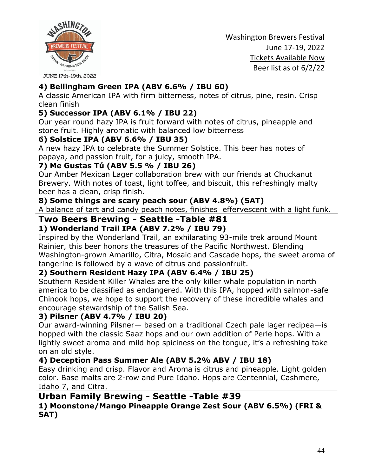

# **4) Bellingham Green IPA (ABV 6.6% / IBU 60)**

A classic American IPA with firm bitterness, notes of citrus, pine, resin. Crisp clean finish

#### **5) Successor IPA (ABV 6.1% / IBU 22)**

Our year round hazy IPA is fruit forward with notes of citrus, pineapple and stone fruit. Highly aromatic with balanced low bitterness

#### **6) Solstice IPA (ABV 6.6% / IBU 35)**

A new hazy IPA to celebrate the Summer Solstice. This beer has notes of papaya, and passion fruit, for a juicy, smooth IPA.

#### **7) Me Gustas Tú (ABV 5.5 % / IBU 26)**

Our Amber Mexican Lager collaboration brew with our friends at Chuckanut Brewery. With notes of toast, light toffee, and biscuit, this refreshingly malty beer has a clean, crisp finish.

#### **8) Some things are scary peach sour (ABV 4.8%) (SAT)**

A balance of tart and candy peach notes, finishes effervescent with a light funk.

## **Two Beers Brewing - Seattle -Table #81**

#### **1) Wonderland Trail IPA (ABV 7.2% / IBU 79)**

Inspired by the Wonderland Trail, an exhilarating 93-mile trek around Mount Rainier, this beer honors the treasures of the Pacific Northwest. Blending Washington-grown Amarillo, Citra, Mosaic and Cascade hops, the sweet aroma of tangerine is followed by a wave of citrus and passionfruit.

#### **2) Southern Resident Hazy IPA (ABV 6.4% / IBU 25)**

Southern Resident Killer Whales are the only killer whale population in north america to be classified as endangered. With this IPA, hopped with salmon-safe Chinook hops, we hope to support the recovery of these incredible whales and encourage stewardship of the Salish Sea.

#### **3) Pilsner (ABV 4.7% / IBU 20)**

Our award-winning Pilsner— based on a traditional Czech pale lager recipea—is hopped with the classic Saaz hops and our own addition of Perle hops. With a lightly sweet aroma and mild hop spiciness on the tongue, it's a refreshing take on an old style.

#### **4) Deception Pass Summer Ale (ABV 5.2% ABV / IBU 18)**

Easy drinking and crisp. Flavor and Aroma is citrus and pineapple. Light golden color. Base malts are 2-row and Pure Idaho. Hops are Centennial, Cashmere, Idaho 7, and Citra.

# **Urban Family Brewing - Seattle -Table #39**

**1) Moonstone/Mango Pineapple Orange Zest Sour (ABV 6.5%) (FRI & SAT)**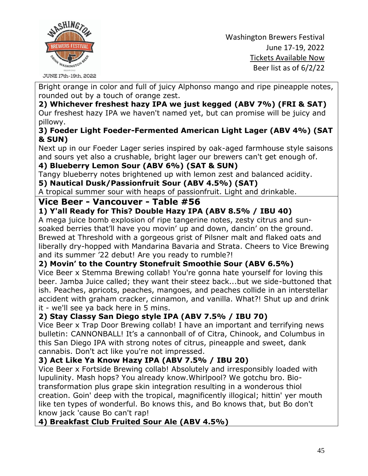

Bright orange in color and full of juicy Alphonso mango and ripe pineapple notes, rounded out by a touch of orange zest.

**2) Whichever freshest hazy IPA we just kegged (ABV 7%) (FRI & SAT)** Our freshest hazy IPA we haven't named yet, but can promise will be juicy and pillowy.

#### **3) Foeder Light Foeder-Fermented American Light Lager (ABV 4%) (SAT & SUN)**

Next up in our Foeder Lager series inspired by oak-aged farmhouse style saisons and sours yet also a crushable, bright lager our brewers can't get enough of.

## **4) Blueberry Lemon Sour (ABV 6%) (SAT & SUN)**

Tangy blueberry notes brightened up with lemon zest and balanced acidity.

#### **5) Nautical Dusk/Passionfruit Sour (ABV 4.5%) (SAT)**

A tropical summer sour with heaps of passionfruit. Light and drinkable.

#### **Vice Beer - Vancouver - Table #56**

## **1) Y'all Ready for This? Double Hazy IPA (ABV 8.5% / IBU 40)**

A mega juice bomb explosion of ripe tangerine notes, zesty citrus and sunsoaked berries that'll have you movin' up and down, dancin' on the ground. Brewed at Threshold with a gorgeous grist of Pilsner malt and flaked oats and liberally dry-hopped with Mandarina Bavaria and Strata. Cheers to Vice Brewing and its summer '22 debut! Are you ready to rumble?!

#### **2) Movin' to the Country Stonefruit Smoothie Sour (ABV 6.5%)**

Vice Beer x Stemma Brewing collab! You're gonna hate yourself for loving this beer. Jamba Juice called; they want their steez back...but we side-buttoned that ish. Peaches, apricots, peaches, mangoes, and peaches collide in an interstellar accident with graham cracker, cinnamon, and vanilla. What?! Shut up and drink it - we'll see ya back here in 5 mins.

#### **2) Stay Classy San Diego style IPA (ABV 7.5% / IBU 70)**

Vice Beer x Trap Door Brewing collab! I have an important and terrifying news bulletin: CANNONBALL! It's a cannonball of of Citra, Chinook, and Columbus in this San Diego IPA with strong notes of citrus, pineapple and sweet, dank cannabis. Don't act like you're not impressed.

#### **3) Act Like Ya Know Hazy IPA (ABV 7.5% / IBU 20)**

Vice Beer x Fortside Brewing collab! Absolutely and irresponsibly loaded with lupulinity. Mash hops? You already know.Whirlpool? We gotchu bro. Biotransformation plus grape skin integration resulting in a wonderous thiol creation. Goin' deep with the tropical, magnificently illogical; hittin' yer mouth like ten types of wonderful. Bo knows this, and Bo knows that, but Bo don't know jack 'cause Bo can't rap!

**4) Breakfast Club Fruited Sour Ale (ABV 4.5%)**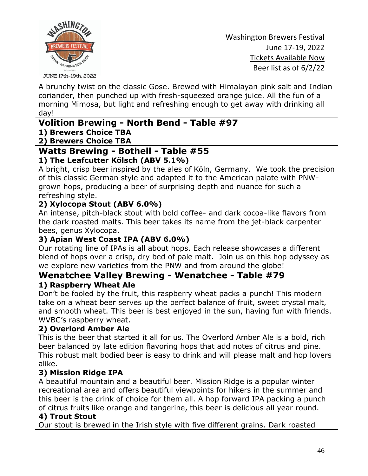

A brunchy twist on the classic Gose. Brewed with Himalayan pink salt and Indian coriander, then punched up with fresh-squeezed orange juice. All the fun of a morning Mimosa, but light and refreshing enough to get away with drinking all day!

# **Volition Brewing - North Bend - Table #97**

#### **1) Brewers Choice TBA**

#### **2) Brewers Choice TBA**

# **Watts Brewing - Bothell - Table #55**

# **1) The Leafcutter Kölsch (ABV 5.1%)**

A bright, crisp beer inspired by the ales of Köln, Germany. We took the precision of this classic German style and adapted it to the American palate with PNWgrown hops, producing a beer of surprising depth and nuance for such a refreshing style.

#### **2) Xylocopa Stout (ABV 6.0%)**

An intense, pitch-black stout with bold coffee- and dark cocoa-like flavors from the dark roasted malts. This beer takes its name from the jet-black carpenter bees, genus Xylocopa.

#### **3) Apian West Coast IPA (ABV 6.0%)**

Our rotating line of IPAs is all about hops. Each release showcases a different blend of hops over a crisp, dry bed of pale malt. Join us on this hop odyssey as we explore new varieties from the PNW and from around the globe!

# **Wenatchee Valley Brewing - Wenatchee - Table #79**

#### **1) Raspberry Wheat Ale**

Don't be fooled by the fruit, this raspberry wheat packs a punch! This modern take on a wheat beer serves up the perfect balance of fruit, sweet crystal malt, and smooth wheat. This beer is best enjoyed in the sun, having fun with friends. WVBC's raspberry wheat.

#### **2) Overlord Amber Ale**

This is the beer that started it all for us. The Overlord Amber Ale is a bold, rich beer balanced by late edition flavoring hops that add notes of citrus and pine. This robust malt bodied beer is easy to drink and will please malt and hop lovers alike.

#### **3) Mission Ridge IPA**

A beautiful mountain and a beautiful beer. Mission Ridge is a popular winter recreational area and offers beautiful viewpoints for hikers in the summer and this beer is the drink of choice for them all. A hop forward IPA packing a punch of citrus fruits like orange and tangerine, this beer is delicious all year round.

#### **4) Trout Stout**

Our stout is brewed in the Irish style with five different grains. Dark roasted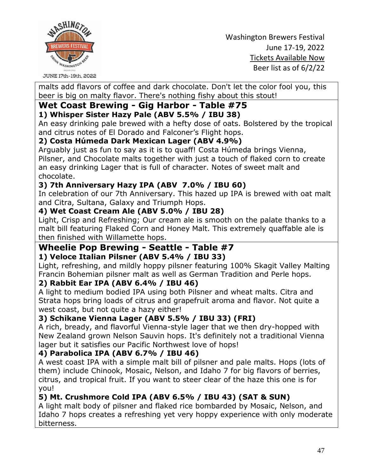

malts add flavors of coffee and dark chocolate. Don't let the color fool you, this beer is big on malty flavor. There's nothing fishy about this stout!

# **Wet Coast Brewing - Gig Harbor - Table #75**

## **1) Whisper Sister Hazy Pale (ABV 5.5% / IBU 38)**

An easy drinking pale brewed with a hefty dose of oats. Bolstered by the tropical and citrus notes of El Dorado and Falconer's Flight hops.

## **2) Costa Húmeda Dark Mexican Lager (ABV 4.9%)**

Arguably just as fun to say as it is to quaff! Costa Húmeda brings Vienna, Pilsner, and Chocolate malts together with just a touch of flaked corn to create an easy drinking Lager that is full of character. Notes of sweet malt and chocolate.

## **3) 7th Anniversary Hazy IPA (ABV 7.0% / IBU 60)**

In celebration of our 7th Anniversary. This hazed up IPA is brewed with oat malt and Citra, Sultana, Galaxy and Triumph Hops.

## **4) Wet Coast Cream Ale (ABV 5.0% / IBU 28)**

Light, Crisp and Refreshing; Our cream ale is smooth on the palate thanks to a malt bill featuring Flaked Corn and Honey Malt. This extremely quaffable ale is then finished with Willamette hops.

# **Wheelie Pop Brewing - Seattle - Table #7**

# **1) Veloce Italian Pilsner (ABV 5.4% / IBU 33)**

Light, refreshing, and mildly hoppy pilsner featuring 100% Skagit Valley Malting Francin Bohemian pilsner malt as well as German Tradition and Perle hops.

#### **2) Rabbit Ear IPA (ABV 6.4% / IBU 46)**

A light to medium bodied IPA using both Pilsner and wheat malts. Citra and Strata hops bring loads of citrus and grapefruit aroma and flavor. Not quite a west coast, but not quite a hazy either!

# **3) Schikane Vienna Lager (ABV 5.5% / IBU 33) (FRI)**

A rich, bready, and flavorful Vienna-style lager that we then dry-hopped with New Zealand grown Nelson Sauvin hops. It's definitely not a traditional Vienna lager but it satisfies our Pacific Northwest love of hops!

#### **4) Parabolica IPA (ABV 6.7% / IBU 46)**

A west coast IPA with a simple malt bill of pilsner and pale malts. Hops (lots of them) include Chinook, Mosaic, Nelson, and Idaho 7 for big flavors of berries, citrus, and tropical fruit. If you want to steer clear of the haze this one is for you!

# **5) Mt. Crushmore Cold IPA (ABV 6.5% / IBU 43) (SAT & SUN)**

A light malt body of pilsner and flaked rice bombarded by Mosaic, Nelson, and Idaho 7 hops creates a refreshing yet very hoppy experience with only moderate bitterness.